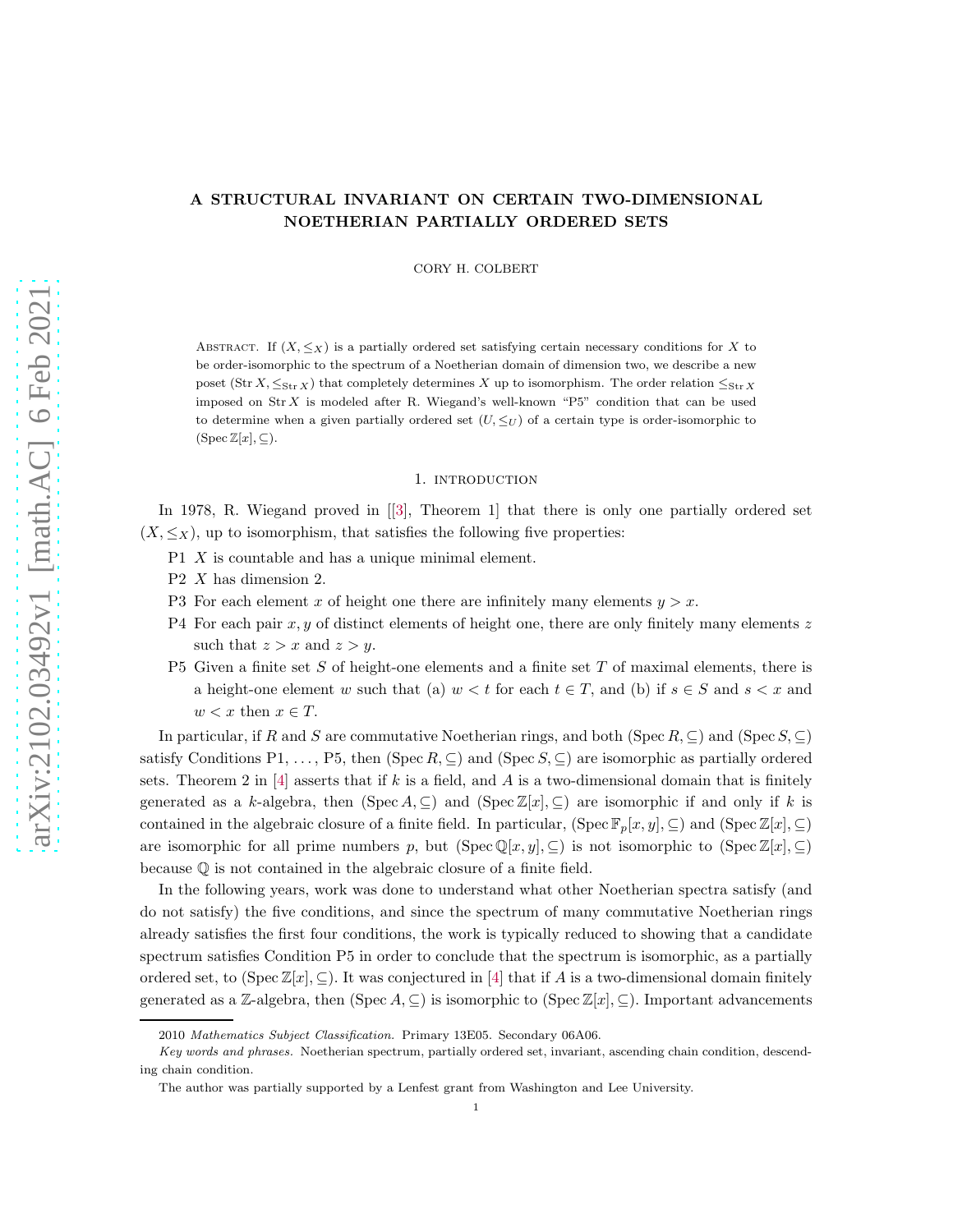# A STRUCTURAL INVARIANT ON CERTAIN TWO-DIMENSIONAL NOETHERIAN PARTIALLY ORDERED SETS

CORY H. COLBERT

ABSTRACT. If  $(X, \leq_X)$  is a partially ordered set satisfying certain necessary conditions for X to be order-isomorphic to the spectrum of a Noetherian domain of dimension two, we describe a new poset (Str  $X, \leq_{\text{Str }X}$ ) that completely determines X up to isomorphism. The order relation  $\leq_{\text{Str }X}$ imposed on Str X is modeled after R. Wiegand's well-known "P5" condition that can be used to determine when a given partially ordered set  $(U, \leq_U)$  of a certain type is order-isomorphic to  $(Spec Z[x], \subseteq).$ 

## 1. introduction

In 1978, R. Wiegand proved in[[\[3\]](#page-16-0), Theorem 1] that there is only one partially ordered set  $(X, \leq_X)$ , up to isomorphism, that satisfies the following five properties:

- P1 X is countable and has a unique minimal element.
- P2 X has dimension 2.
- P3 For each element x of height one there are infinitely many elements  $y > x$ .
- P4 For each pair  $x, y$  of distinct elements of height one, there are only finitely many elements  $z$ such that  $z > x$  and  $z > y$ .
- P5 Given a finite set  $S$  of height-one elements and a finite set  $T$  of maximal elements, there is a height-one element w such that (a)  $w < t$  for each  $t \in T$ , and (b) if  $s \in S$  and  $s < x$  and  $w < x$  then  $x \in T$ .

In particular, if R and S are commutative Noetherian rings, and both (Spec R,  $\subseteq$ ) and (Spec S,  $\subseteq$ ) satisfy Conditions P1, ..., P5, then (Spec R,  $\subseteq$ ) and (Spec S,  $\subseteq$ ) are isomorphic as partially ordered sets. Theorem 2 in [\[4\]](#page-16-1) asserts that if k is a field, and A is a two-dimensional domain that is finitely generated as a k-algebra, then  $(Spec A, \subseteq)$  and  $(Spec Z[x], \subseteq)$  are isomorphic if and only if k is contained in the algebraic closure of a finite field. In particular,  $(\operatorname{Spec} \mathbb{F}_p[x, y], \subseteq)$  and  $(\operatorname{Spec} \mathbb{Z}[x], \subseteq)$ are isomorphic for all prime numbers p, but  $(Spec \mathbb{Q}[x, y], \subseteq)$  is not isomorphic to  $(Spec \mathbb{Z}[x], \subseteq)$ because Q is not contained in the algebraic closure of a finite field.

In the following years, work was done to understand what other Noetherian spectra satisfy (and do not satisfy) the five conditions, and since the spectrum of many commutative Noetherian rings already satisfies the first four conditions, the work is typically reduced to showing that a candidate spectrum satisfies Condition P5 in order to conclude that the spectrum is isomorphic, as a partially ordered set, to (Spec  $\mathbb{Z}[x], \subseteq$ ). It was conjectured in [\[4\]](#page-16-1) that if A is a two-dimensional domain finitely generated as a Z-algebra, then (Spec  $A \subseteq$ ) is isomorphic to (Spec  $\mathbb{Z}[x], \subseteq$ ). Important advancements

<sup>2010</sup> *Mathematics Subject Classification.* Primary 13E05. Secondary 06A06.

*Key words and phrases.* Noetherian spectrum, partially ordered set, invariant, ascending chain condition, descending chain condition.

The author was partially supported by a Lenfest grant from Washington and Lee University.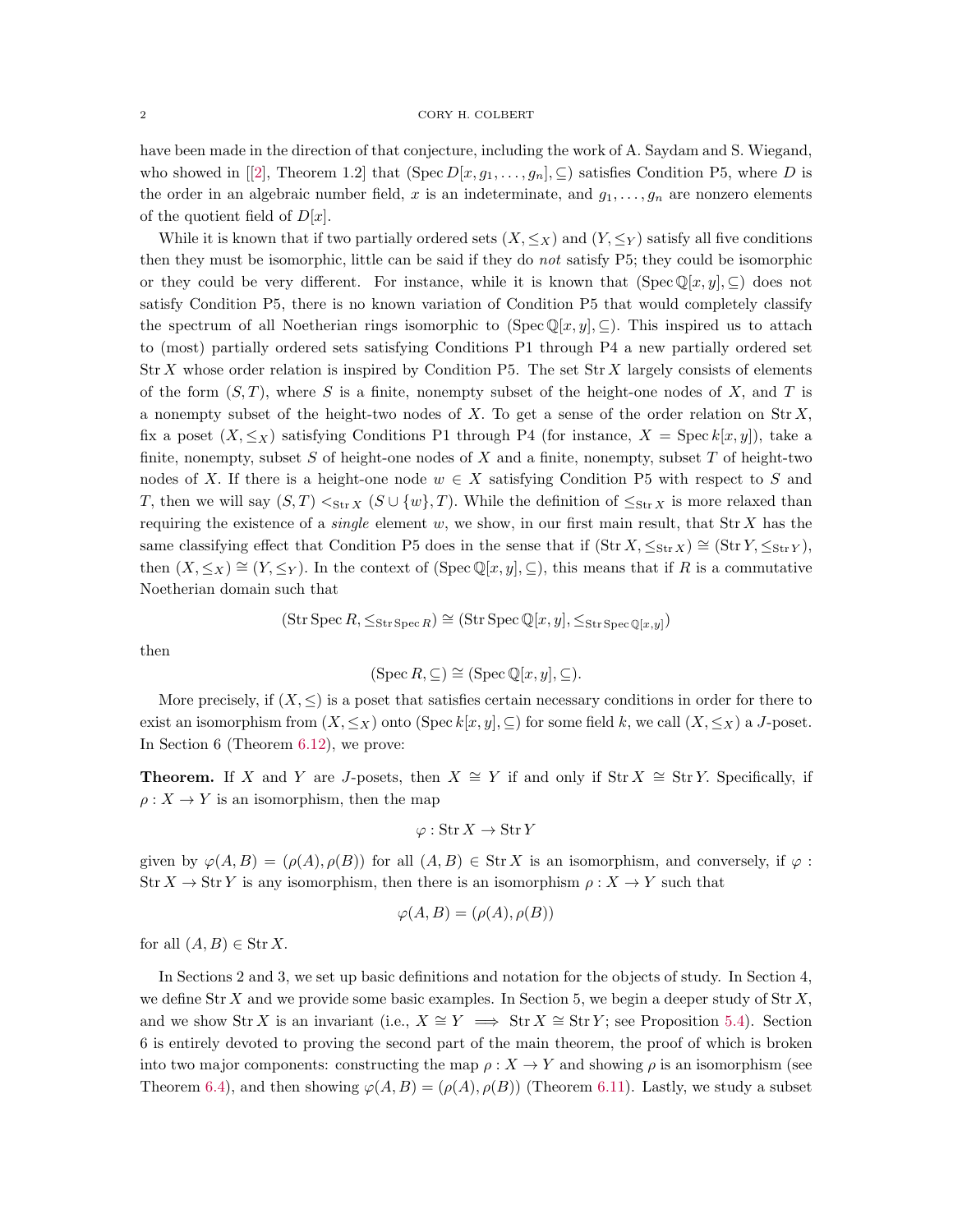have been made in the direction of that conjecture, including the work of A. Saydam and S. Wiegand, whoshowed in [[\[2\]](#page-16-2), Theorem 1.2] that  $(Spec D[x, g_1, \ldots, g_n], \subseteq)$  satisfies Condition P5, where D is the order in an algebraic number field, x is an indeterminate, and  $g_1, \ldots, g_n$  are nonzero elements of the quotient field of  $D[x]$ .

While it is known that if two partially ordered sets  $(X, \leq_X)$  and  $(Y, \leq_Y)$  satisfy all five conditions then they must be isomorphic, little can be said if they do not satisfy P5; they could be isomorphic or they could be very different. For instance, while it is known that  $(Spec Q[x, y], \subseteq)$  does not satisfy Condition P5, there is no known variation of Condition P5 that would completely classify the spectrum of all Noetherian rings isomorphic to (Spec  $\mathbb{Q}[x, y]$ ,  $\subseteq$ ). This inspired us to attach to (most) partially ordered sets satisfying Conditions P1 through P4 a new partially ordered set  $\text{Str } X$  whose order relation is inspired by Condition P5. The set  $\text{Str } X$  largely consists of elements of the form  $(S, T)$ , where S is a finite, nonempty subset of the height-one nodes of X, and T is a nonempty subset of the height-two nodes of  $X$ . To get a sense of the order relation on  $\text{Str } X$ , fix a poset  $(X, \leq_X)$  satisfying Conditions P1 through P4 (for instance,  $X = \text{Spec } k[x, y]$ ), take a finite, nonempty, subset S of height-one nodes of X and a finite, nonempty, subset T of height-two nodes of X. If there is a height-one node  $w \in X$  satisfying Condition P5 with respect to S and T, then we will say  $(S,T) <_{\text{Str} X} (S \cup \{w\}, T)$ . While the definition of  $\leq_{\text{Str} X}$  is more relaxed than requiring the existence of a *single* element w, we show, in our first main result, that  $\text{Str } X$  has the same classifying effect that Condition P5 does in the sense that if  $(\text{Str } X, \leq_{\text{Str } X}) \cong (\text{Str } Y, \leq_{\text{Str } Y})$ , then  $(X, \leq_X) \cong (Y, \leq_Y)$ . In the context of (Spec Q[x, y], ⊆), this means that if R is a commutative Noetherian domain such that

$$
(\operatorname{Str} \operatorname{Spec} R, \leq_{\operatorname{Str} \operatorname{Spec} R}) \cong (\operatorname{Str} \operatorname{Spec} \mathbb{Q}[x, y], \leq_{\operatorname{Str} \operatorname{Spec} \mathbb{Q}[x, y]})
$$

then

$$
(\operatorname{Spec} R, \subseteq) \cong (\operatorname{Spec} \mathbb{Q}[x, y], \subseteq).
$$

More precisely, if  $(X, \leq)$  is a poset that satisfies certain necessary conditions in order for there to exist an isomorphism from  $(X, \leq_X)$  onto  $(\text{Spec } k[x, y], \subseteq)$  for some field k, we call  $(X, \leq_X)$  a J-poset. In Section 6 (Theorem [6.12\)](#page-14-0), we prove:

**Theorem.** If X and Y are J-posets, then  $X \cong Y$  if and only if Str  $X \cong$  Str Y. Specifically, if  $\rho: X \to Y$  is an isomorphism, then the map

$$
\varphi:\mathop{\rm Str} X\to\mathop{\rm Str} Y
$$

given by  $\varphi(A, B) = (\rho(A), \rho(B))$  for all  $(A, B) \in \text{Str } X$  is an isomorphism, and conversely, if  $\varphi$ :  $\text{Str } X \to \text{Str } Y$  is any isomorphism, then there is an isomorphism  $\rho : X \to Y$  such that

$$
\varphi(A, B) = (\rho(A), \rho(B))
$$

for all  $(A, B) \in \text{Str } X$ .

In Sections 2 and 3, we set up basic definitions and notation for the objects of study. In Section 4, we define  $\text{Str } X$  and we provide some basic examples. In Section 5, we begin a deeper study of  $\text{Str } X$ , and we show Str X is an invariant (i.e.,  $X \cong Y \implies \text{Str } X \cong \text{Str } Y$ ; see Proposition [5.4\)](#page-6-0). Section 6 is entirely devoted to proving the second part of the main theorem, the proof of which is broken into two major components: constructing the map  $\rho: X \to Y$  and showing  $\rho$  is an isomorphism (see Theorem [6.4\)](#page-9-0), and then showing  $\varphi(A, B) = (\rho(A), \rho(B))$  (Theorem [6.11\)](#page-13-0). Lastly, we study a subset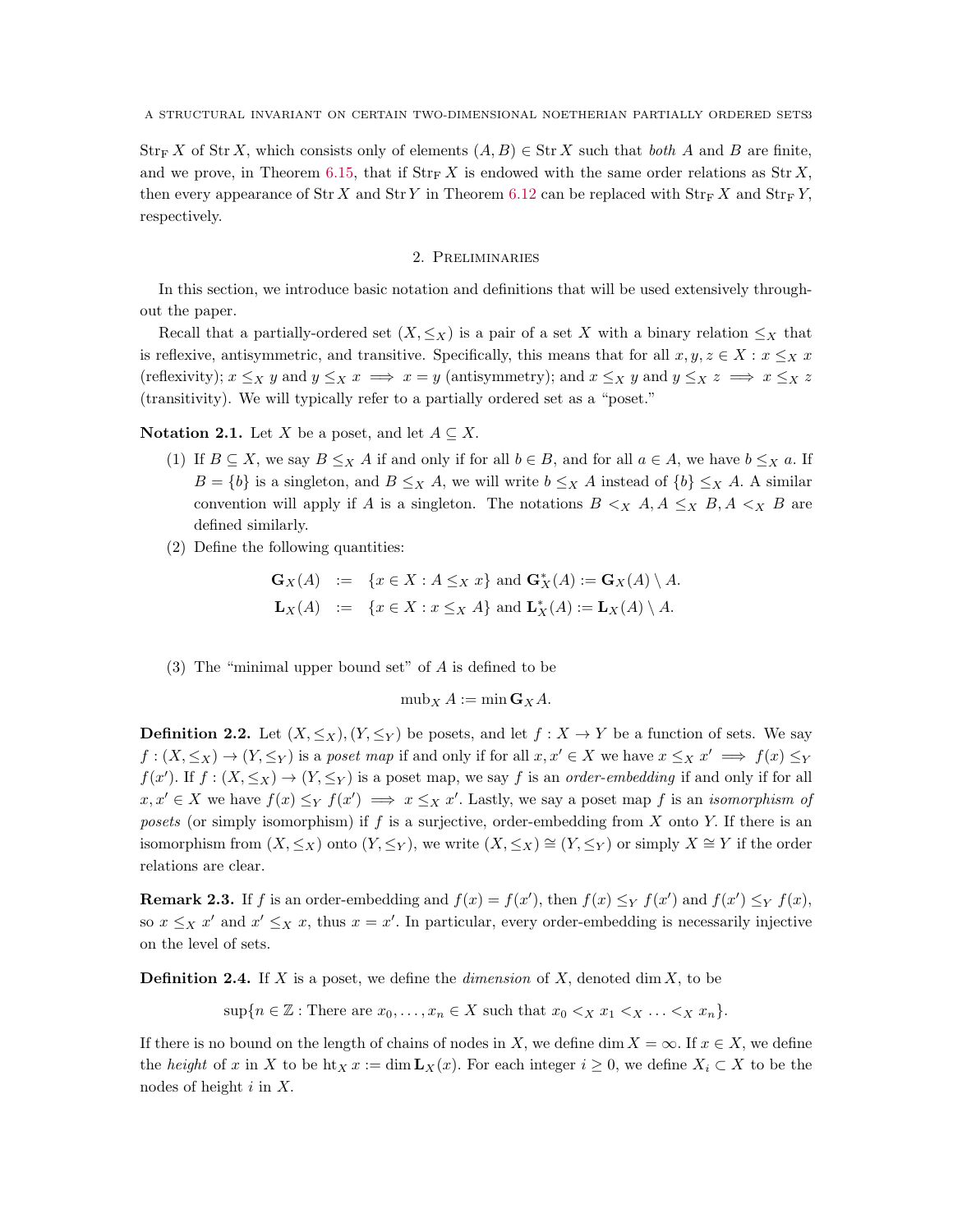$\text{Str}_F X$  of  $\text{Str } X$ , which consists only of elements  $(A, B) \in \text{Str } X$  such that both A and B are finite, and we prove, in Theorem [6.15,](#page-15-0) that if  $\text{Str}_{\mathbb{F}} X$  is endowed with the same order relations as  $\text{Str } X$ , then every appearance of Str X and Str Y in Theorem [6.12](#page-14-0) can be replaced with  $\text{Str}_{\rm F} X$  and  $\text{Str}_{\rm F} Y$ , respectively.

## 2. Preliminaries

In this section, we introduce basic notation and definitions that will be used extensively throughout the paper.

Recall that a partially-ordered set  $(X, \leq_X)$  is a pair of a set X with a binary relation  $\leq_X$  that is reflexive, antisymmetric, and transitive. Specifically, this means that for all  $x, y, z \in X : x \leq_X x$ (reflexivity);  $x \leq_X y$  and  $y \leq_X x \implies x = y$  (antisymmetry); and  $x \leq_X y$  and  $y \leq_X z \implies x \leq_X z$ (transitivity). We will typically refer to a partially ordered set as a "poset."

**Notation 2.1.** Let X be a poset, and let  $A \subseteq X$ .

- (1) If  $B \subseteq X$ , we say  $B \leq_X A$  if and only if for all  $b \in B$ , and for all  $a \in A$ , we have  $b \leq_X a$ . If  $B = \{b\}$  is a singleton, and  $B \leq_X A$ , we will write  $b \leq_X A$  instead of  $\{b\} \leq_X A$ . A similar convention will apply if A is a singleton. The notations  $B \leq_X A, A \leq_X B, A \leq_X B$  are defined similarly.
- (2) Define the following quantities:

$$
\mathbf{G}_X(A) := \{ x \in X : A \leq_X x \} \text{ and } \mathbf{G}_X^*(A) := \mathbf{G}_X(A) \setminus A.
$$
  

$$
\mathbf{L}_X(A) := \{ x \in X : x \leq_X A \} \text{ and } \mathbf{L}_X^*(A) := \mathbf{L}_X(A) \setminus A.
$$

(3) The "minimal upper bound set" of A is defined to be

$$
\mathrm{mub}_X A := \min \mathbf{G}_X A.
$$

**Definition 2.2.** Let  $(X, \leq_X)$ ,  $(Y, \leq_Y)$  be posets, and let  $f : X \to Y$  be a function of sets. We say  $f:(X,\leq_X)\to(Y,\leq_Y)$  is a poset map if and only if for all  $x,x'\in X$  we have  $x\leq_X x' \implies f(x)\leq_Y x'$  $f(x')$ . If  $f: (X, \leq_X) \to (Y, \leq_Y)$  is a poset map, we say f is an *order-embedding* if and only if for all  $x, x' \in X$  we have  $f(x) \leq Y f(x') \implies x \leq_X x'$ . Lastly, we say a poset map f is an *isomorphism of* posets (or simply isomorphism) if  $f$  is a surjective, order-embedding from  $X$  onto  $Y$ . If there is an isomorphism from  $(X, \leq_X)$  onto  $(Y, \leq_Y)$ , we write  $(X, \leq_X) \cong (Y, \leq_Y)$  or simply  $X \cong Y$  if the order relations are clear.

<span id="page-2-0"></span>**Remark 2.3.** If f is an order-embedding and  $f(x) = f(x')$ , then  $f(x) \leq_Y f(x')$  and  $f(x') \leq_Y f(x)$ , so  $x \leq_X x'$  and  $x' \leq_X x$ , thus  $x = x'$ . In particular, every order-embedding is necessarily injective on the level of sets.

**Definition 2.4.** If X is a poset, we define the *dimension* of X, denoted dim X, to be

 $\sup\{n \in \mathbb{Z} : \text{There are } x_0, \ldots, x_n \in X \text{ such that } x_0 < x_1 < x \ldots < x_n\}.$ 

If there is no bound on the length of chains of nodes in X, we define dim  $X = \infty$ . If  $x \in X$ , we define the height of x in X to be  $\text{ht}_X x := \dim L_X(x)$ . For each integer  $i \geq 0$ , we define  $X_i \subset X$  to be the nodes of height  $i$  in  $X$ .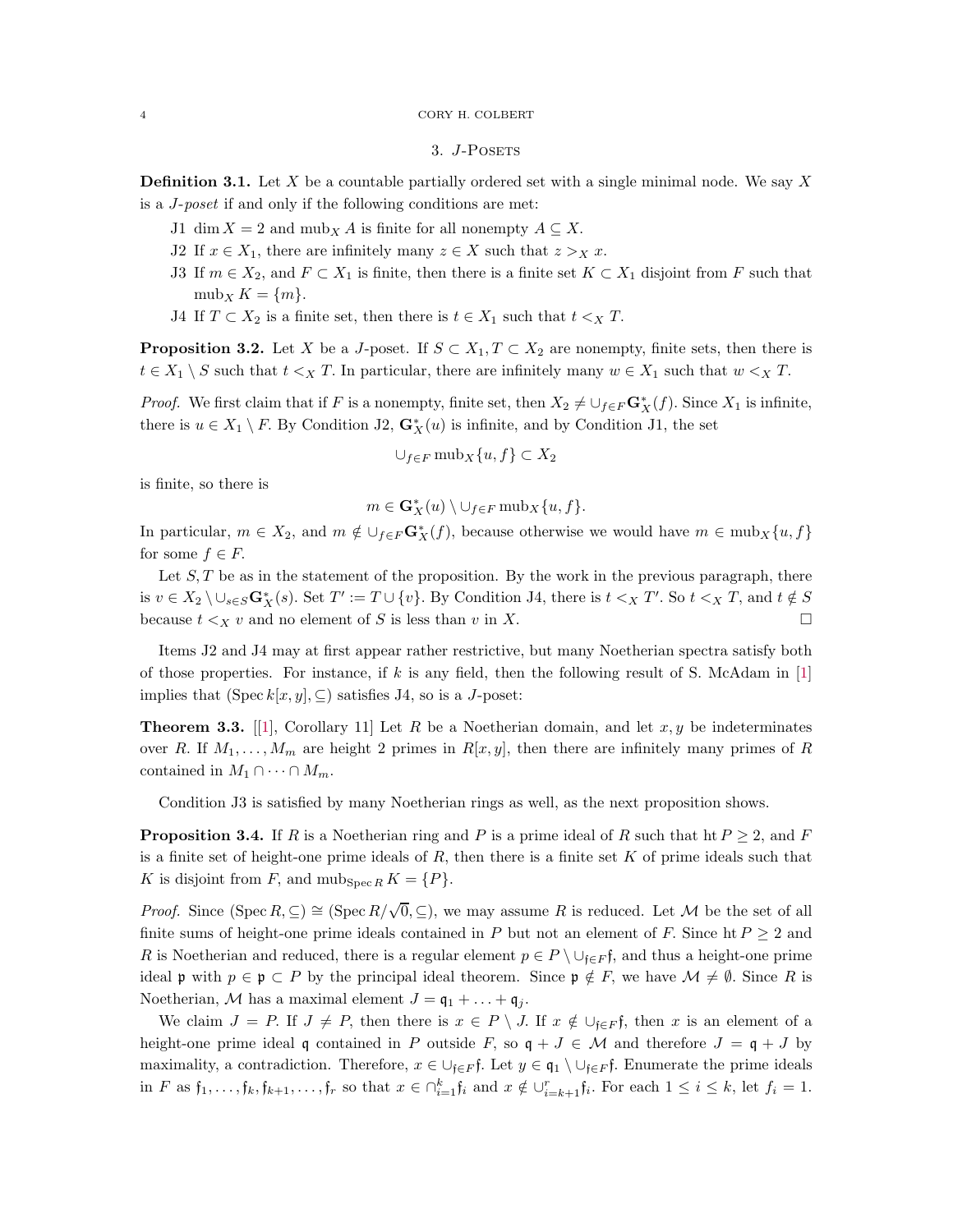# 3. J-Posets

**Definition 3.1.** Let X be a countable partially ordered set with a single minimal node. We say X is a J-poset if and only if the following conditions are met:

- J1 dim  $X = 2$  and mub<sub>X</sub> A is finite for all nonempty  $A \subseteq X$ .
- J2 If  $x \in X_1$ , there are infinitely many  $z \in X$  such that  $z >_X x$ .
- J3 If  $m \in X_2$ , and  $F \subset X_1$  is finite, then there is a finite set  $K \subset X_1$  disjoint from F such that  $mub_X K = \{m\}.$
- J4 If  $T \subset X_2$  is a finite set, then there is  $t \in X_1$  such that  $t \leq_X T$ .

<span id="page-3-1"></span>**Proposition 3.2.** Let X be a J-poset. If  $S \subset X_1, T \subset X_2$  are nonempty, finite sets, then there is  $t \in X_1 \setminus S$  such that  $t <_X T$ . In particular, there are infinitely many  $w \in X_1$  such that  $w <_X T$ .

*Proof.* We first claim that if F is a nonempty, finite set, then  $X_2 \neq \bigcup_{f \in F} \mathbf{G}_X^*(f)$ . Since  $X_1$  is infinite, there is  $u \in X_1 \setminus F$ . By Condition J2,  $\mathbf{G}_X^*(u)$  is infinite, and by Condition J1, the set

$$
\cup_{f \in F} \text{mub}_X \{u, f\} \subset X_2
$$

is finite, so there is

$$
m\in \mathbf{G}^*_X(u)\setminus \cup_{f\in F} \mathrm{mub}_X\{u,f\}.
$$

In particular,  $m \in X_2$ , and  $m \notin \bigcup_{f \in F} \mathbf{G}_X^*(f)$ , because otherwise we would have  $m \in \text{mub}_X\{u, f\}$ for some  $f \in F$ .

Let  $S, T$  be as in the statement of the proposition. By the work in the previous paragraph, there is  $v \in X_2 \setminus \cup_{s \in S} \mathbf{G}_X^*(s)$ . Set  $T' := T \cup \{v\}$ . By Condition J4, there is  $t <_X T'$ . So  $t <_X T$ , and  $t \notin S$ because  $t <sub>X</sub> v$  and no element of S is less than v in X.

Items J2 and J4 may at first appear rather restrictive, but many Noetherian spectra satisfy both of those properties. For instance, if k is any field, then the following result of S. McAdam in  $[1]$ implies that  $(Spec k[x, y], \subseteq)$  satisfies J4, so is a J-poset:

<span id="page-3-0"></span>**Theorem 3.3.** [\[1\]](#page-16-3), Corollary 11] Let R be a Noetherian domain, and let  $x, y$  be indeterminates over R. If  $M_1, \ldots, M_m$  are height 2 primes in  $R[x, y]$ , then there are infinitely many primes of R contained in  $M_1 \cap \cdots \cap M_m$ .

Condition J3 is satisfied by many Noetherian rings as well, as the next proposition shows.

**Proposition 3.4.** If R is a Noetherian ring and P is a prime ideal of R such that ht  $P \geq 2$ , and F is a finite set of height-one prime ideals of  $R$ , then there is a finite set  $K$  of prime ideals such that K is disjoint from F, and  $\text{mub}_{\text{Spec } R} K = \{P\}.$ 

*Proof.* Since  $(Spec R, \subseteq) \cong (Spec R/\sqrt{0}, \subseteq)$ , we may assume R is reduced. Let M be the set of all finite sums of height-one prime ideals contained in P but not an element of F. Since  $\text{ht } P \geq 2$  and R is Noetherian and reduced, there is a regular element  $p \in P \setminus \cup_{f \in F} f$ , and thus a height-one prime ideal p with  $p \in \mathfrak{p} \subset P$  by the principal ideal theorem. Since  $\mathfrak{p} \notin F$ , we have  $\mathcal{M} \neq \emptyset$ . Since R is Noetherian, M has a maximal element  $J = \mathfrak{q}_1 + \ldots + \mathfrak{q}_j$ .

We claim  $J = P$ . If  $J \neq P$ , then there is  $x \in P \setminus J$ . If  $x \notin \bigcup_{\mathfrak{f} \in F} \mathfrak{f}$ , then x is an element of a height-one prime ideal q contained in P outside F, so  $q + J \in \mathcal{M}$  and therefore  $J = q + J$  by maximality, a contradiction. Therefore,  $x \in \bigcup_{f \in F} f$ . Let  $y \in \mathfrak{q}_1 \setminus \bigcup_{f \in F} f$ . Enumerate the prime ideals in F as  $f_1, \ldots, f_k, f_{k+1}, \ldots, f_r$  so that  $x \in \bigcap_{i=1}^k f_i$  and  $x \notin \bigcup_{i=k+1}^r f_i$ . For each  $1 \leq i \leq k$ , let  $f_i = 1$ .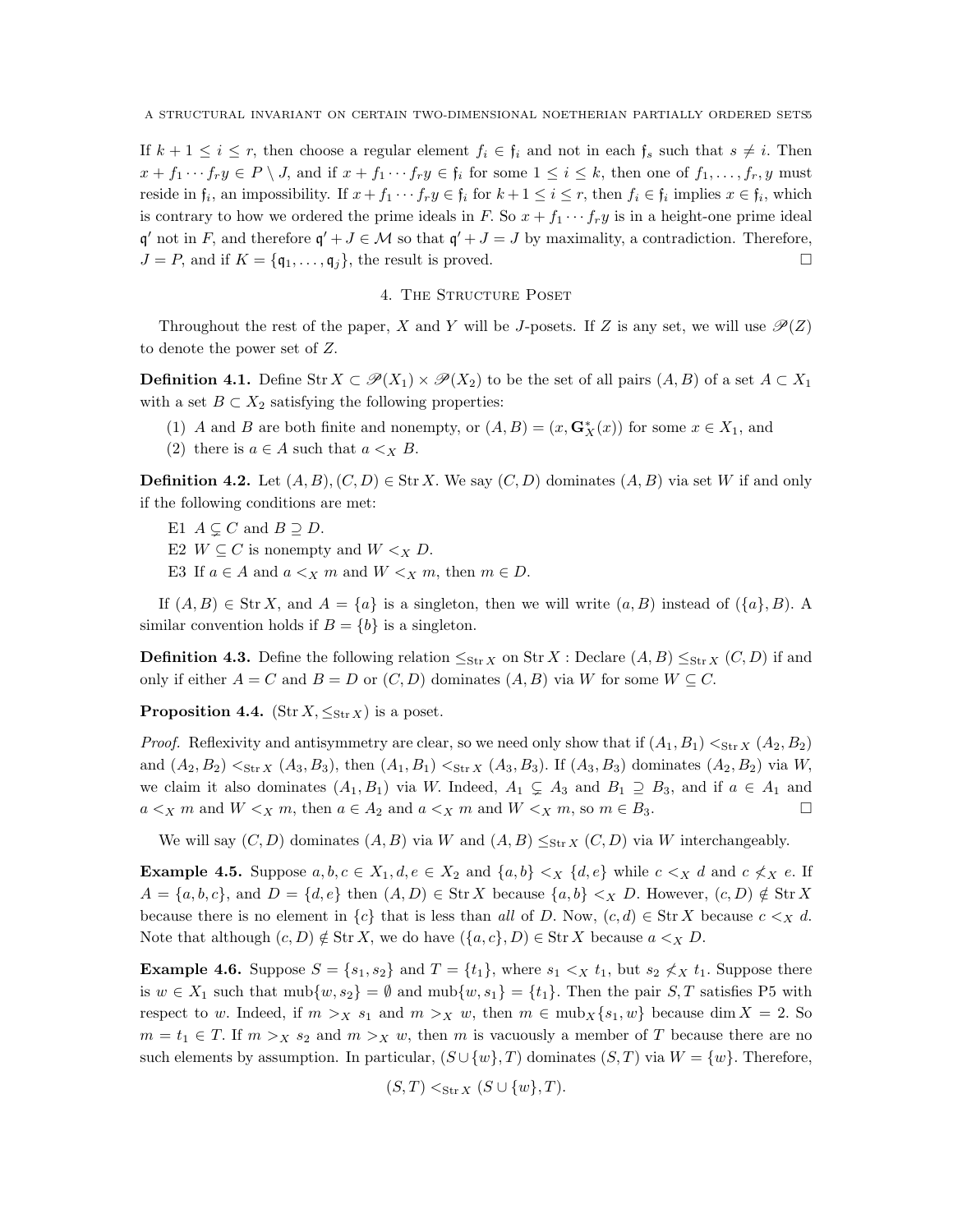If  $k + 1 \leq i \leq r$ , then choose a regular element  $f_i \in \mathfrak{f}_i$  and not in each  $\mathfrak{f}_s$  such that  $s \neq i$ . Then  $x + f_1 \cdots f_r y \in P \setminus J$ , and if  $x + f_1 \cdots f_r y \in f_i$  for some  $1 \leq i \leq k$ , then one of  $f_1, \ldots, f_r, y$  must reside in  $\mathfrak{f}_i$ , an impossibility. If  $x + f_1 \cdots f_r y \in \mathfrak{f}_i$  for  $k + 1 \leq i \leq r$ , then  $f_i \in \mathfrak{f}_i$  implies  $x \in \mathfrak{f}_i$ , which is contrary to how we ordered the prime ideals in F. So  $x + f_1 \cdots f_r y$  is in a height-one prime ideal  $\mathfrak{q}'$  not in F, and therefore  $\mathfrak{q}' + J \in \mathcal{M}$  so that  $\mathfrak{q}' + J = J$  by maximality, a contradiction. Therefore,  $J = P$ , and if  $K = \{q_1, \ldots, q_j\}$ , the result is proved.

### 4. THE STRUCTURE POSET

Throughout the rest of the paper, X and Y will be J-posets. If Z is any set, we will use  $\mathcal{P}(Z)$ to denote the power set of Z.

**Definition 4.1.** Define Str  $X \subset \mathcal{P}(X_1) \times \mathcal{P}(X_2)$  to be the set of all pairs  $(A, B)$  of a set  $A \subset X_1$ with a set  $B \subset X_2$  satisfying the following properties:

- (1) A and B are both finite and nonempty, or  $(A, B) = (x, G^*_X(x))$  for some  $x \in X_1$ , and
- (2) there is  $a \in A$  such that  $a \ltimes_X B$ .

**Definition 4.2.** Let  $(A, B), (C, D) \in \text{Str } X$ . We say  $(C, D)$  dominates  $(A, B)$  via set W if and only if the following conditions are met:

- E1  $A \subseteq C$  and  $B \supseteq D$ .
- E2  $W \subseteq C$  is nonempty and  $W \leq_X D$ .
- E3 If  $a \in A$  and  $a \leq_X m$  and  $W \leq_X m$ , then  $m \in D$ .

If  $(A, B) \in \text{Str } X$ , and  $A = \{a\}$  is a singleton, then we will write  $(a, B)$  instead of  $(\{a\}, B)$ . A similar convention holds if  $B = \{b\}$  is a singleton.

**Definition 4.3.** Define the following relation  $\leq_{\text{Str }X}$  on Str X : Declare  $(A, B) \leq_{\text{Str }X} (C, D)$  if and only if either  $A = C$  and  $B = D$  or  $(C, D)$  dominates  $(A, B)$  via W for some  $W \subseteq C$ .

**Proposition 4.4.** (Str  $X, \leq_{\text{Str }X}$ ) is a poset.

*Proof.* Reflexivity and antisymmetry are clear, so we need only show that if  $(A_1, B_1) <_{\text{Str }X}(A_2, B_2)$ and  $(A_2, B_2) <_{\text{Str } X} (A_3, B_3)$ , then  $(A_1, B_1) <_{\text{Str } X} (A_3, B_3)$ . If  $(A_3, B_3)$  dominates  $(A_2, B_2)$  via W, we claim it also dominates  $(A_1, B_1)$  via W. Indeed,  $A_1 \subsetneq A_3$  and  $B_1 \supseteq B_3$ , and if  $a \in A_1$  and  $a \leq_X m$  and  $W \leq_X m$ , then  $a \in A_2$  and  $a \leq_X m$  and  $W \leq_X m$ , so  $m \in B_3$ .

We will say  $(C, D)$  dominates  $(A, B)$  via W and  $(A, B) \leq_{\text{Str } X} (C, D)$  via W interchangeably.

**Example 4.5.** Suppose  $a, b, c \in X_1, d, e \in X_2$  and  $\{a, b\} <_X \{d, e\}$  while  $c <_X d$  and  $c \nless x e$ . If  $A = \{a, b, c\}$ , and  $D = \{d, e\}$  then  $(A, D) \in \text{Str } X$  because  $\{a, b\} \leq_X D$ . However,  $(c, D) \notin \text{Str } X$ because there is no element in  ${c}$  that is less than all of D. Now,  $(c, d) \in \text{Str } X$  because  $c <_X d$ . Note that although  $(c, D) \notin \text{Str } X$ , we do have  $(\{a, c\}, D) \in \text{Str } X$  because  $a \leq_X D$ .

**Example 4.6.** Suppose  $S = \{s_1, s_2\}$  and  $T = \{t_1\}$ , where  $s_1 \leq x t_1$ , but  $s_2 \nleq x t_1$ . Suppose there is  $w \in X_1$  such that  $mub\{w, s_2\} = \emptyset$  and  $mub\{w, s_1\} = \{t_1\}$ . Then the pair  $S, T$  satisfies P5 with respect to w. Indeed, if  $m >_X s_1$  and  $m >_X w$ , then  $m \in \text{mub}_X\{s_1, w\}$  because dim  $X = 2$ . So  $m = t_1 \in T$ . If  $m > X s_2$  and  $m > X w$ , then m is vacuously a member of T because there are no such elements by assumption. In particular,  $(S \cup \{w\}, T)$  dominates  $(S, T)$  via  $W = \{w\}$ . Therefore,

$$
(S,T) <_{\text{Str } X} (S \cup \{w\},T).
$$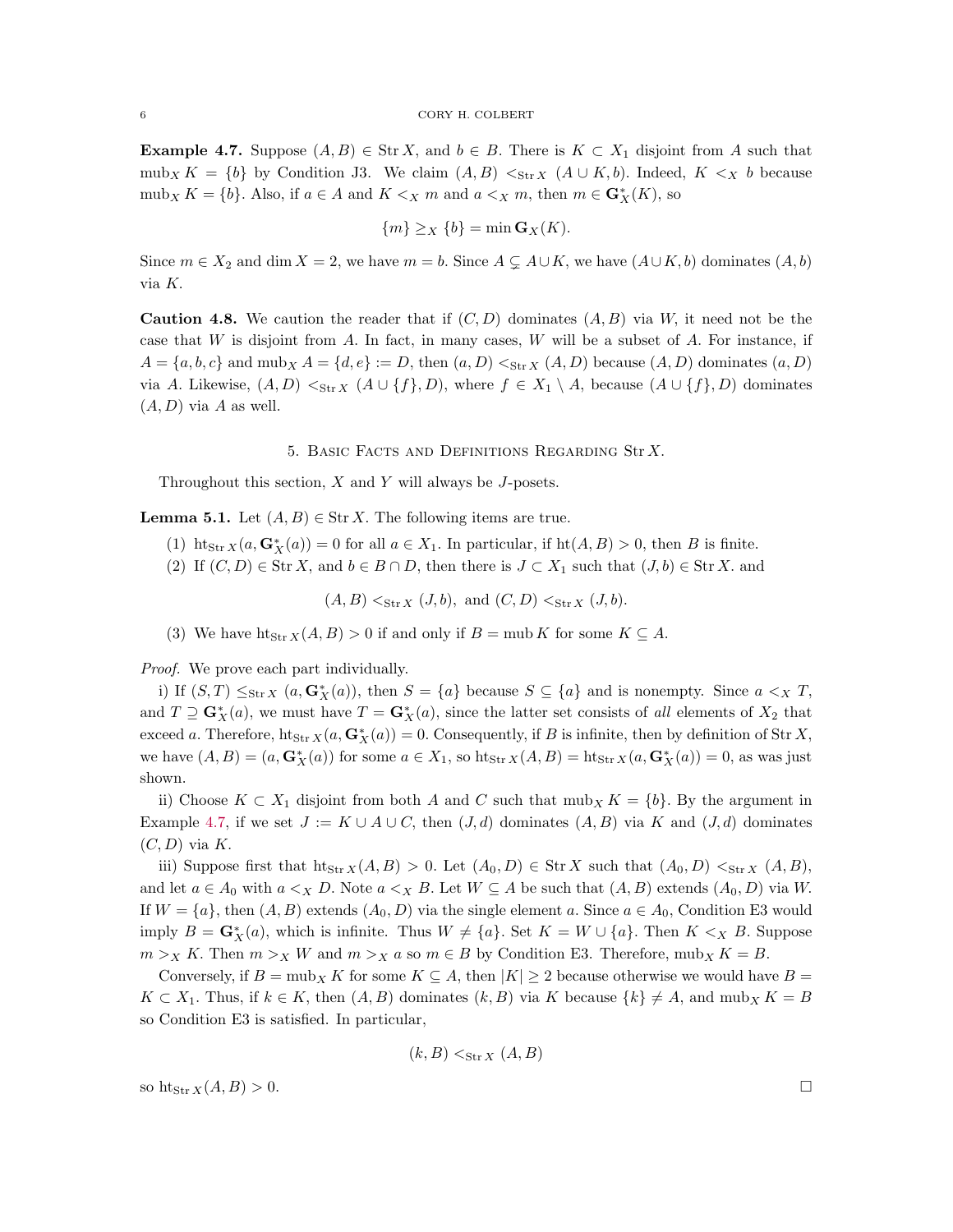<span id="page-5-0"></span>**Example 4.7.** Suppose  $(A, B) \in \text{Str } X$ , and  $b \in B$ . There is  $K \subset X_1$  disjoint from A such that mub<sub>X</sub> K = {b} by Condition J3. We claim  $(A, B) <_{\text{Str } X} (A \cup K, b)$ . Indeed,  $K <_{X} b$  because mub<sub>X</sub>  $K = \{b\}$ . Also, if  $a \in A$  and  $K \leq_X m$  and  $a \leq_X m$ , then  $m \in \mathbf{G}_X^*(K)$ , so

$$
\{m\} \geq_X \{b\} = \min \mathbf{G}_X(K).
$$

Since  $m \in X_2$  and dim  $X = 2$ , we have  $m = b$ . Since  $A \subsetneq A \cup K$ , we have  $(A \cup K, b)$  dominates  $(A, b)$ via K.

**Caution 4.8.** We caution the reader that if  $(C, D)$  dominates  $(A, B)$  via W, it need not be the case that  $W$  is disjoint from  $A$ . In fact, in many cases,  $W$  will be a subset of  $A$ . For instance, if  $A = \{a, b, c\}$  and  $mub_X A = \{d, e\} := D$ , then  $(a, D) <_{\text{Str }X}(A, D)$  because  $(A, D)$  dominates  $(a, D)$ via A. Likewise,  $(A, D) <_{\text{Str } X} (A \cup \{f\}, D)$ , where  $f \in X_1 \setminus A$ , because  $(A \cup \{f\}, D)$  dominates  $(A, D)$  via A as well.

5. Basic Facts and Definitions Regarding Str X.

Throughout this section,  $X$  and  $Y$  will always be  $J$ -posets.

<span id="page-5-1"></span>**Lemma 5.1.** Let  $(A, B) \in \text{Str } X$ . The following items are true.

- (1) ht<sub>Str</sub>  $X(a, \mathbf{G}_X^*(a)) = 0$  for all  $a \in X_1$ . In particular, if  $ht(A, B) > 0$ , then B is finite.
- (2) If  $(C, D) \in \text{Str } X$ , and  $b \in B \cap D$ , then there is  $J \subset X_1$  such that  $(J, b) \in \text{Str } X$ . and

 $(A, B) \leq_{\text{Str } X} (J, b), \text{ and } (C, D) \leq_{\text{Str } X} (J, b).$ 

(3) We have  $\text{ht}_{\text{Str }X}(A, B) > 0$  if and only if  $B = \text{mult } K$  for some  $K \subseteq A$ .

Proof. We prove each part individually.

i) If  $(S,T) \leq_{\text{Str }X} (a, \mathbf{G}_X^*(a))$ , then  $S = \{a\}$  because  $S \subseteq \{a\}$  and is nonempty. Since  $a <_X T$ , and  $T \supseteq G_X^*(a)$ , we must have  $T = G_X^*(a)$ , since the latter set consists of all elements of  $X_2$  that exceed a. Therefore,  $\text{ht}_{\text{Str }X}(a, \mathbf{G}_X^*(a)) = 0$ . Consequently, if B is infinite, then by definition of Str X, we have  $(A, B) = (a, \mathbf{G}_X^*(a))$  for some  $a \in X_1$ , so  $\text{ht}_{\text{Str }X}(A, B) = \text{ht}_{\text{Str }X}(a, \mathbf{G}_X^*(a)) = 0$ , as was just shown.

ii) Choose  $K \subset X_1$  disjoint from both A and C such that  $m \omega_X K = \{b\}$ . By the argument in Example [4.7,](#page-5-0) if we set  $J := K \cup A \cup C$ , then  $(J, d)$  dominates  $(A, B)$  via K and  $(J, d)$  dominates  $(C, D)$  via K.

iii) Suppose first that  $\text{ht}_{\text{Str }X}(A, B) > 0$ . Let  $(A_0, D) \in \text{Str }X$  such that  $(A_0, D) <_{\text{Str }X} (A, B)$ , and let  $a \in A_0$  with  $a \ltimes_X D$ . Note  $a \ltimes_X B$ . Let  $W \subseteq A$  be such that  $(A, B)$  extends  $(A_0, D)$  via W. If  $W = \{a\}$ , then  $(A, B)$  extends  $(A_0, D)$  via the single element a. Since  $a \in A_0$ , Condition E3 would imply  $B = \mathbf{G}_X^*(a)$ , which is infinite. Thus  $W \neq \{a\}$ . Set  $K = W \cup \{a\}$ . Then  $K <_X B$ . Suppose  $m > X$  K. Then  $m > X$  W and  $m > X$  a so  $m \in B$  by Condition E3. Therefore, mub<sub>X</sub> K = B.

Conversely, if  $B = \text{mub}_X K$  for some  $K \subseteq A$ , then  $|K| \geq 2$  because otherwise we would have  $B =$  $K \subset X_1$ . Thus, if  $k \in K$ , then  $(A, B)$  dominates  $(k, B)$  via K because  $\{k\} \neq A$ , and mub<sub>X</sub>  $K = B$ so Condition E3 is satisfied. In particular,

$$
(k, B) <_{\text{Str } X} (A, B)
$$

so  $\text{ht}_{\text{Str} X}(A, B) > 0.$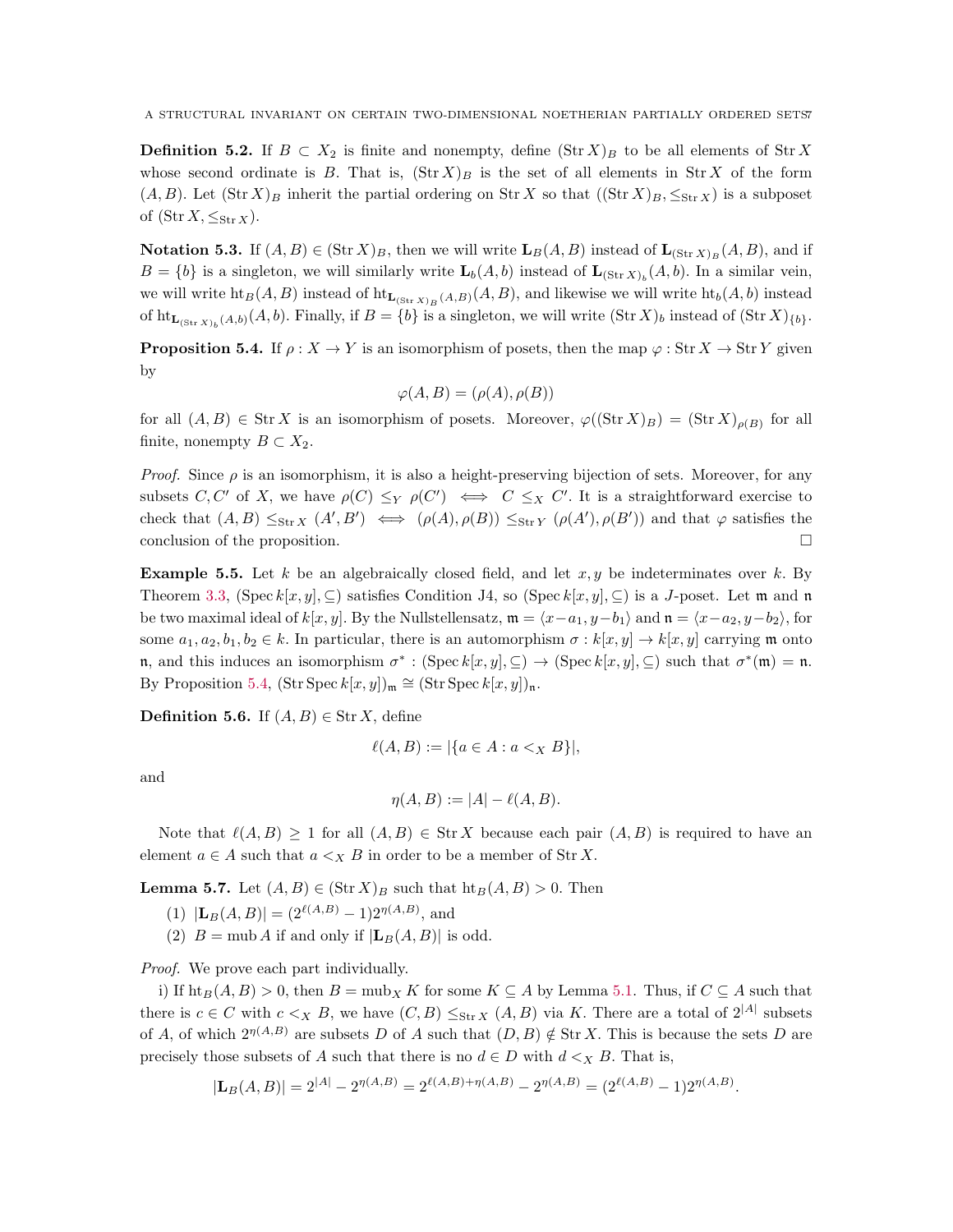**Definition 5.2.** If  $B \subset X_2$  is finite and nonempty, define  $(\text{Str } X)_B$  to be all elements of  $\text{Str } X$ whose second ordinate is B. That is,  $(\text{Str } X)_B$  is the set of all elements in Str X of the form  $(A, B)$ . Let  $(\text{Str } X)_B$  inherit the partial ordering on Str X so that  $((\text{Str } X)_B, \leq_{\text{Str } X})$  is a subposet of  $(\text{Str } X, \leq_{\text{Str } X}).$ 

**Notation 5.3.** If  $(A, B) \in (\text{Str } X)_B$ , then we will write  $\mathbf{L}_B(A, B)$  instead of  $\mathbf{L}_{(\text{Str } X)_B}(A, B)$ , and if  $B = \{b\}$  is a singleton, we will similarly write  $\mathbf{L}_b(A, b)$  instead of  $\mathbf{L}_{(Str X)_b}(A, b)$ . In a similar vein, we will write  $\text{ht}_B(A, B)$  instead of  $\text{ht}_{\mathbf{L}_{(\text{Str }X)_B}(A, B)}(A, B)$ , and likewise we will write  $\text{ht}_b(A, b)$  instead of  $\mathrm{ht}_{\mathbf{L}_{(\texttt{Str} X)_b}(A, b)}(A, b)$ . Finally, if  $B = \{b\}$  is a singleton, we will write  $(\texttt{Str} X)_b$  instead of  $(\texttt{Str} X)_{\{b\}}$ .

<span id="page-6-0"></span>**Proposition 5.4.** If  $\rho: X \to Y$  is an isomorphism of posets, then the map  $\varphi: \text{Str } X \to \text{Str } Y$  given by

$$
\varphi(A, B) = (\rho(A), \rho(B))
$$

for all  $(A, B) \in \text{Str } X$  is an isomorphism of posets. Moreover,  $\varphi((\text{Str } X)_B) = (\text{Str } X)_{\rho(B)}$  for all finite, nonempty  $B \subset X_2$ .

*Proof.* Since  $\rho$  is an isomorphism, it is also a height-preserving bijection of sets. Moreover, for any subsets  $C, C'$  of X, we have  $\rho(C) \leq_Y \rho(C') \iff C \leq_X C'$ . It is a straightforward exercise to check that  $(A, B) \leq_{\text{Str }X} (A', B') \iff (\rho(A), \rho(B)) \leq_{\text{Str }Y} (\rho(A'), \rho(B'))$  and that  $\varphi$  satisfies the conclusion of the proposition.

**Example 5.5.** Let k be an algebraically closed field, and let  $x, y$  be indeterminates over k. By Theorem [3.3,](#page-3-0) (Spec  $k[x, y]$ ,  $\subseteq$ ) satisfies Condition J4, so (Spec  $k[x, y]$ ,  $\subseteq$ ) is a J-poset. Let m and n be two maximal ideal of  $k[x, y]$ . By the Nullstellensatz,  $\mathfrak{m} = \langle x-a_1, y-b_1 \rangle$  and  $\mathfrak{n} = \langle x-a_2, y-b_2 \rangle$ , for some  $a_1, a_2, b_1, b_2 \in k$ . In particular, there is an automorphism  $\sigma : k[x, y] \to k[x, y]$  carrying m onto n, and this induces an isomorphism  $\sigma^* : (\text{Spec } k[x, y], \subseteq) \to (\text{Spec } k[x, y], \subseteq)$  such that  $\sigma^*(\mathfrak{m}) = \mathfrak{n}$ . By Proposition [5.4,](#page-6-0)  $(\text{Str Spec } k[x, y])_{\mathfrak{m}} \cong (\text{Str Spec } k[x, y])_{\mathfrak{n}}.$ 

**Definition 5.6.** If  $(A, B) \in \text{Str } X$ , define

$$
\ell(A, B) := |\{a \in A : a <_{X} B\}|,
$$

and

$$
\eta(A, B) := |A| - \ell(A, B).
$$

Note that  $\ell(A, B) \geq 1$  for all  $(A, B) \in \text{Str } X$  because each pair  $(A, B)$  is required to have an element  $a \in A$  such that  $a \ltimes_X B$  in order to be a member of Str X.

<span id="page-6-1"></span>**Lemma 5.7.** Let  $(A, B) \in (\text{Str } X)_B$  such that  $\text{ht}_B(A, B) > 0$ . Then

- $(1)$   $|\mathbf{L}_B(A, B)| = (2^{\ell(A, B)} 1)2^{\eta(A, B)}$ , and
- (2)  $B = \text{mub } A$  if and only if  $|\mathbf{L}_B(A, B)|$  is odd.

Proof. We prove each part individually.

i) If  $\text{ht}_B(A, B) > 0$ , then  $B = \text{mub}_X K$  for some  $K \subseteq A$  by Lemma [5.1.](#page-5-1) Thus, if  $C \subseteq A$  such that there is  $c \in C$  with  $c \lt_X B$ , we have  $(C, B) \leq_{\text{Str } X} (A, B)$  via K. There are a total of  $2^{|A|}$  subsets of A, of which  $2^{\eta(A,B)}$  are subsets D of A such that  $(D, B) \notin \text{Str } X$ . This is because the sets D are precisely those subsets of A such that there is no  $d \in D$  with  $d \ltimes_{X} B$ . That is,

$$
|\mathbf{L}_B(A,B)| = 2^{|A|} - 2^{\eta(A,B)} = 2^{\ell(A,B) + \eta(A,B)} - 2^{\eta(A,B)} = (2^{\ell(A,B)} - 1)2^{\eta(A,B)}.
$$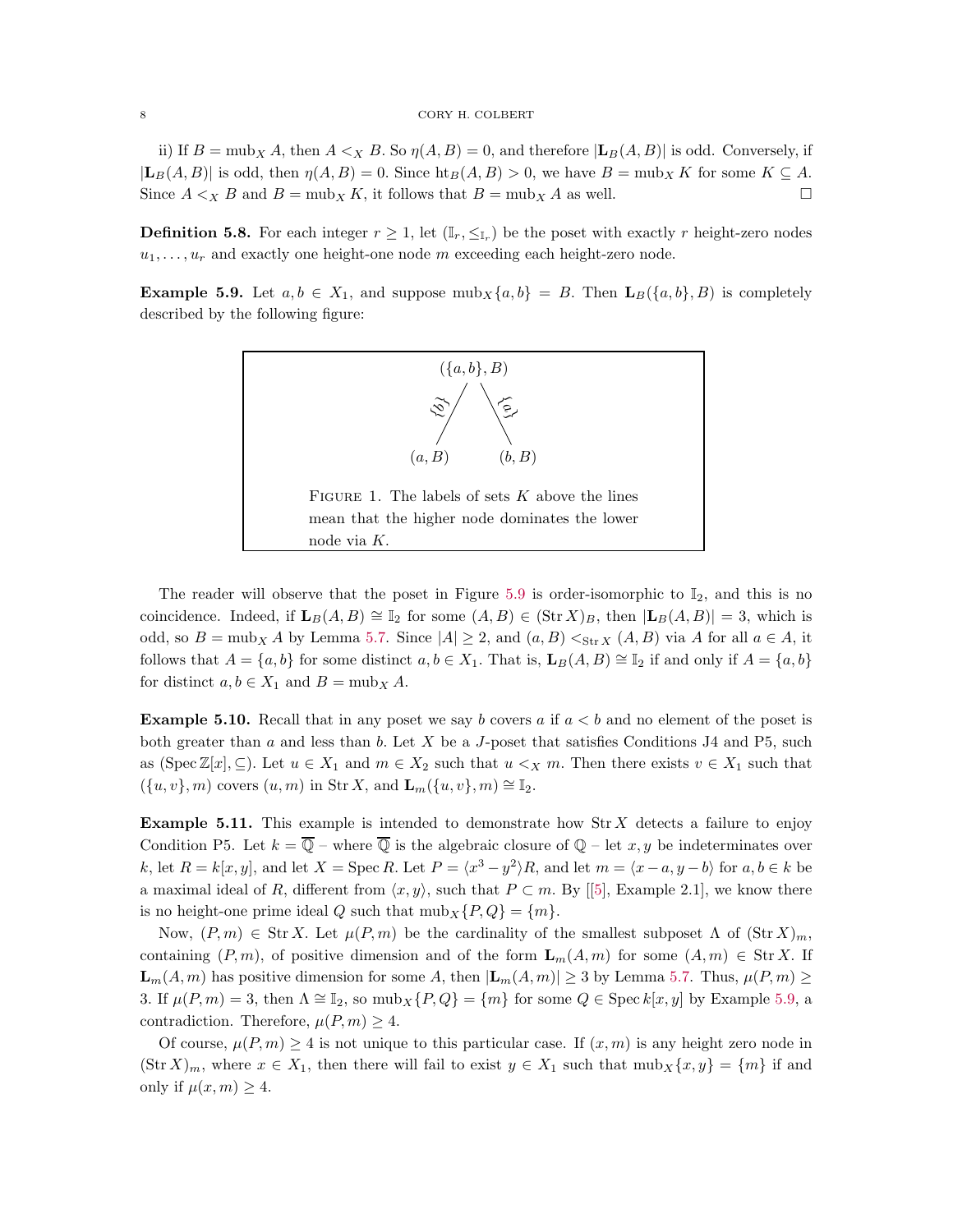ii) If  $B = \text{mub}_X A$ , then  $A \leq_X B$ . So  $\eta(A, B) = 0$ , and therefore  $|\mathbf{L}_B(A, B)|$  is odd. Conversely, if  $|\mathbf{L}_B(A, B)|$  is odd, then  $\eta(A, B) = 0$ . Since  $\text{ht}_B(A, B) > 0$ , we have  $B = \text{mub}_X K$  for some  $K \subseteq A$ . Since  $A \leq_X B$  and  $B = \text{mub}_X K$ , it follows that  $B = \text{mub}_X A$  as well.

**Definition 5.8.** For each integer  $r \geq 1$ , let  $(\mathbb{I}_r, \leq_{\mathbb{I}_r})$  be the poset with exactly r height-zero nodes  $u_1, \ldots, u_r$  and exactly one height-one node m exceeding each height-zero node.

<span id="page-7-1"></span>**Example 5.9.** Let  $a, b \in X_1$ , and suppose  $\text{mub}_X\{a, b\} = B$ . Then  $\mathbf{L}_B(\{a, b\}, B)$  is completely described by the following figure:

<span id="page-7-0"></span>

The reader will observe that the poset in Figure [5.9](#page-7-0) is order-isomorphic to  $\mathbb{I}_2$ , and this is no coincidence. Indeed, if  $\mathbf{L}_B(A, B) \cong \mathbb{I}_2$  for some  $(A, B) \in (\text{Str } X)_B$ , then  $|\mathbf{L}_B(A, B)| = 3$ , which is odd, so  $B = \text{mub}_X A$  by Lemma [5.7.](#page-6-1) Since  $|A| \geq 2$ , and  $(a, B) <_{\text{Str }X} (A, B)$  via A for all  $a \in A$ , it follows that  $A = \{a, b\}$  for some distinct  $a, b \in X_1$ . That is,  $\mathbf{L}_B(A, B) \cong \mathbb{I}_2$  if and only if  $A = \{a, b\}$ for distinct  $a, b \in X_1$  and  $B = \text{mub}_X A$ .

**Example 5.10.** Recall that in any poset we say b covers a if  $a < b$  and no element of the poset is both greater than  $a$  and less than  $b$ . Let  $X$  be a  $J$ -poset that satisfies Conditions J4 and P5, such as (Spec  $\mathbb{Z}[x], \subseteq$ ). Let  $u \in X_1$  and  $m \in X_2$  such that  $u \leq_X m$ . Then there exists  $v \in X_1$  such that  $({u, v}, m)$  covers  $(u, m)$  in Str X, and  $\mathbf{L}_m({u, v}, m) \cong \mathbb{I}_2$ .

**Example 5.11.** This example is intended to demonstrate how  $\text{Str } X$  detects a failure to enjoy Condition P5. Let  $k = \overline{Q}$  – where  $\overline{Q}$  is the algebraic closure of  $Q$  – let x, y be indeterminates over k, let  $R = k[x, y]$ , and let  $X = \text{Spec } R$ . Let  $P = \langle x^3 - y^2 \rangle R$ , and let  $m = \langle x - a, y - b \rangle$  for  $a, b \in k$  be amaximal ideal of R, different from  $\langle x, y \rangle$ , such that  $P \subset m$ . By [[\[5\]](#page-17-0), Example 2.1], we know there is no height-one prime ideal Q such that  $mub<sub>X</sub> {P,Q} = {m}$ .

Now,  $(P, m) \in \text{Str } X$ . Let  $\mu(P, m)$  be the cardinality of the smallest subposet  $\Lambda$  of  $(\text{Str } X)_m$ , containing  $(P, m)$ , of positive dimension and of the form  $\mathbf{L}_m(A, m)$  for some  $(A, m) \in \text{Str } X$ . If  $\mathbf{L}_m(A,m)$  has positive dimension for some A, then  $|\mathbf{L}_m(A,m)| \geq 3$  by Lemma [5.7.](#page-6-1) Thus,  $\mu(P,m) \geq 3$ 3. If  $\mu(P,m) = 3$ , then  $\Lambda \cong \mathbb{I}_2$ , so  $mub_X\{P,Q\} = \{m\}$  for some  $Q \in \text{Spec } k[x,y]$  by Example [5.9,](#page-7-1) a contradiction. Therefore,  $\mu(P,m) \geq 4$ .

Of course,  $\mu(P, m) \geq 4$  is not unique to this particular case. If  $(x, m)$  is any height zero node in  $(\text{Str } X)_m$ , where  $x \in X_1$ , then there will fail to exist  $y \in X_1$  such that  $\text{mub}_X\{x, y\} = \{m\}$  if and only if  $\mu(x, m) \geq 4$ .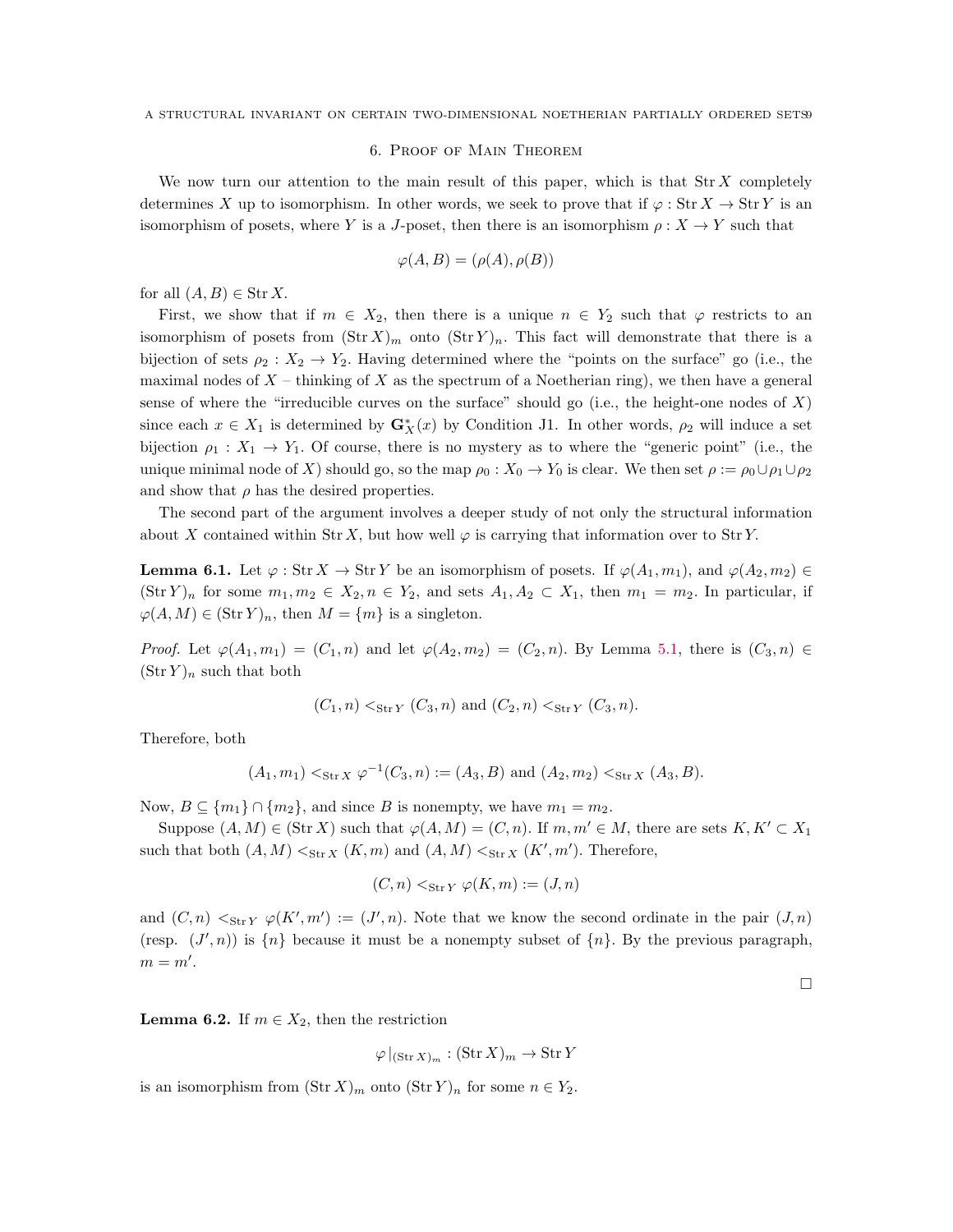#### 6. Proof of Main Theorem

We now turn our attention to the main result of this paper, which is that  $\text{Str } X$  completely determines X up to isomorphism. In other words, we seek to prove that if  $\varphi : \text{Str } X \to \text{Str } Y$  is an isomorphism of posets, where Y is a J-poset, then there is an isomorphism  $\rho: X \to Y$  such that

$$
\varphi(A, B) = (\rho(A), \rho(B))
$$

for all  $(A, B) \in \text{Str } X$ .

First, we show that if  $m \in X_2$ , then there is a unique  $n \in Y_2$  such that  $\varphi$  restricts to an isomorphism of posets from  $(\text{Str } X)_m$  onto  $(\text{Str } Y)_n$ . This fact will demonstrate that there is a bijection of sets  $\rho_2 : X_2 \to Y_2$ . Having determined where the "points on the surface" go (i.e., the maximal nodes of  $X$  – thinking of X as the spectrum of a Noetherian ring), we then have a general sense of where the "irreducible curves on the surface" should go (i.e., the height-one nodes of  $X$ ) since each  $x \in X_1$  is determined by  $\mathbf{G}_X^*(x)$  by Condition J1. In other words,  $\rho_2$  will induce a set bijection  $\rho_1 : X_1 \to Y_1$ . Of course, there is no mystery as to where the "generic point" (i.e., the unique minimal node of X) should go, so the map  $\rho_0 : X_0 \to Y_0$  is clear. We then set  $\rho := \rho_0 \cup \rho_1 \cup \rho_2$ and show that  $\rho$  has the desired properties.

The second part of the argument involves a deeper study of not only the structural information about X contained within Str X, but how well  $\varphi$  is carrying that information over to Str Y.

<span id="page-8-0"></span>**Lemma 6.1.** Let  $\varphi$ : Str  $X \to \text{Str } Y$  be an isomorphism of posets. If  $\varphi(A_1, m_1)$ , and  $\varphi(A_2, m_2) \in$  $(\text{Str } Y)_n$  for some  $m_1, m_2 \in X_2, n \in Y_2$ , and sets  $A_1, A_2 \subset X_1$ , then  $m_1 = m_2$ . In particular, if  $\varphi(A, M) \in (\text{Str } Y)_n$ , then  $M = \{m\}$  is a singleton.

*Proof.* Let  $\varphi(A_1, m_1) = (C_1, n)$  and let  $\varphi(A_2, m_2) = (C_2, n)$ . By Lemma [5.1,](#page-5-1) there is  $(C_3, n) \in$  $(\text{Str } Y)_n$  such that both

$$
(C_1, n) <_{\text{Str } Y} (C_3, n)
$$
 and  $(C_2, n) <_{\text{Str } Y} (C_3, n)$ .

Therefore, both

$$
(A_1, m_1) <_{\text{Str } X} \varphi^{-1}(C_3, n) := (A_3, B) \text{ and } (A_2, m_2) <_{\text{Str } X} (A_3, B).
$$

Now,  $B \subseteq \{m_1\} \cap \{m_2\}$ , and since B is nonempty, we have  $m_1 = m_2$ .

Suppose  $(A, M) \in (\text{Str } X)$  such that  $\varphi(A, M) = (C, n)$ . If  $m, m' \in M$ , there are sets  $K, K' \subset X_1$ such that both  $(A, M) <_{\text{Str } X} (K, m)$  and  $(A, M) <_{\text{Str } X} (K', m')$ . Therefore,

$$
(C, n) <_{\text{Str } Y} \varphi(K, m) := (J, n)
$$

and  $(C, n) <_{\text{Str } Y} \varphi(K', m') := (J', n)$ . Note that we know the second ordinate in the pair  $(J, n)$ (resp.  $(J', n)$ ) is  $\{n\}$  because it must be a nonempty subset of  $\{n\}$ . By the previous paragraph,  $m = m'.$ 

 $\Box$ 

<span id="page-8-1"></span>**Lemma 6.2.** If  $m \in X_2$ , then the restriction

$$
\varphi|_{(\text{Str } X)_m} : (\text{Str } X)_m \to \text{Str } Y
$$

is an isomorphism from  $(\text{Str } X)_m$  onto  $(\text{Str } Y)_n$  for some  $n \in Y_2$ .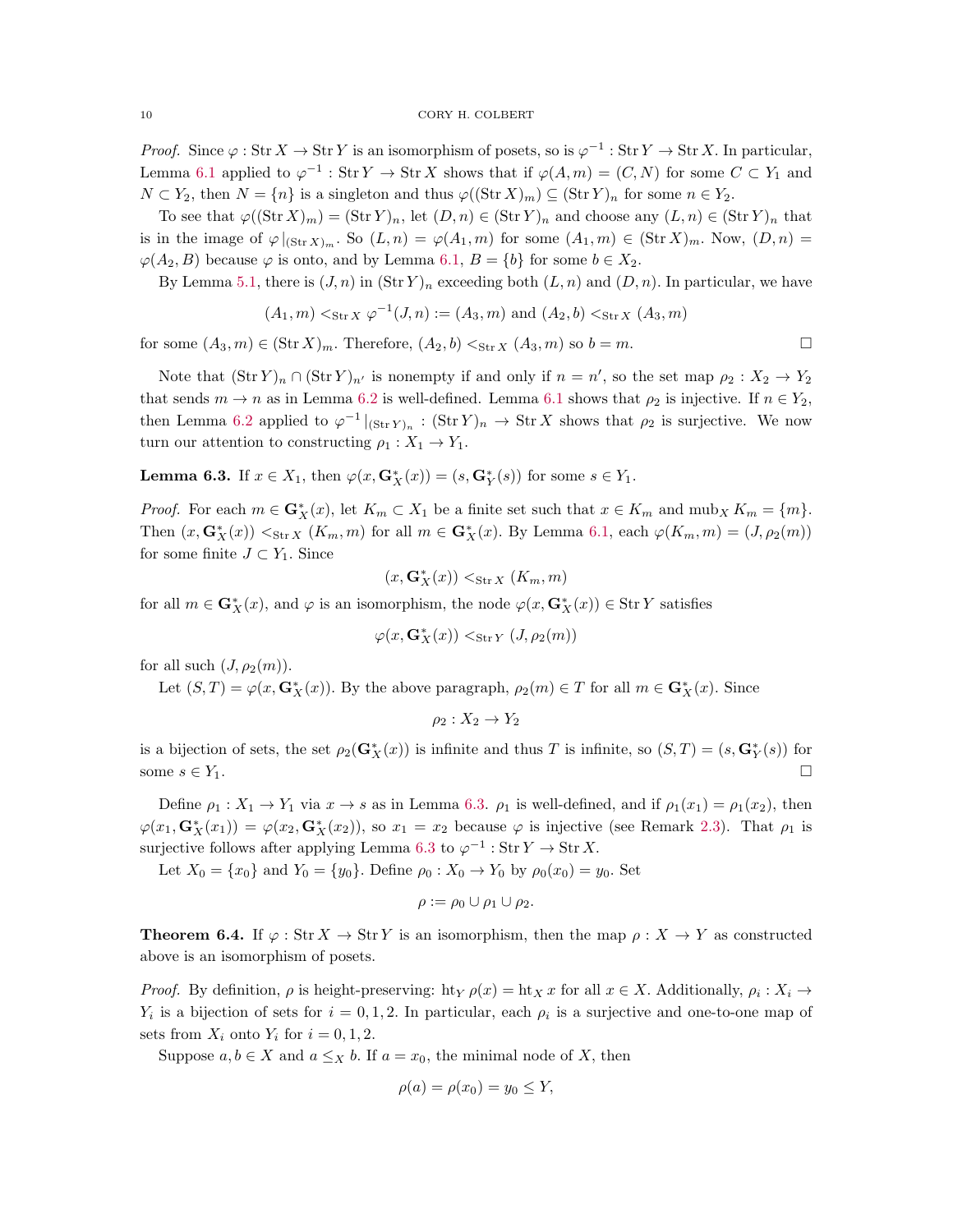*Proof.* Since  $\varphi: \text{Str } X \to \text{Str } Y$  is an isomorphism of posets, so is  $\varphi^{-1}: \text{Str } Y \to \text{Str } X$ . In particular, Lemma [6.1](#page-8-0) applied to  $\varphi^{-1}$ : Str  $Y \to \text{Str } X$  shows that if  $\varphi(A,m) = (C, N)$  for some  $C \subset Y_1$  and  $N \subset Y_2$ , then  $N = \{n\}$  is a singleton and thus  $\varphi((\text{Str } X)_m) \subseteq (\text{Str } Y)_n$  for some  $n \in Y_2$ .

To see that  $\varphi((\text{Str }X)_m) = (\text{Str }Y)_n$ , let  $(D, n) \in (\text{Str }Y)_n$  and choose any  $(L, n) \in (\text{Str }Y)_n$  that is in the image of  $\varphi|_{(\text{Str }X)_m}$ . So  $(L, n) = \varphi(A_1, m)$  for some  $(A_1, m) \in (\text{Str }X)_m$ . Now,  $(D, n) =$  $\varphi(A_2, B)$  because  $\varphi$  is onto, and by Lemma [6.1,](#page-8-0)  $B = \{b\}$  for some  $b \in X_2$ .

By Lemma [5.1,](#page-5-1) there is  $(J, n)$  in  $(\text{Str } Y)_n$  exceeding both  $(L, n)$  and  $(D, n)$ . In particular, we have

$$
(A_1, m) <_{\text{Str } X} \varphi^{-1}(J, n) := (A_3, m)
$$
 and  $(A_2, b) <_{\text{Str } X} (A_3, m)$ 

for some  $(A_3, m) \in (\text{Str } X)_m$ . Therefore,  $(A_2, b) <_{\text{Str } X} (A_3, m)$  so  $b = m$ .

Note that  $(\text{Str } Y)_n \cap (\text{Str } Y)_{n'}$  is nonempty if and only if  $n = n'$ , so the set map  $\rho_2 : X_2 \to Y_2$ that sends  $m \to n$  as in Lemma [6.2](#page-8-1) is well-defined. Lemma [6.1](#page-8-0) shows that  $\rho_2$  is injective. If  $n \in Y_2$ , then Lemma [6.2](#page-8-1) applied to  $\varphi^{-1}|_{(\text{Str }Y)_n} : (\text{Str }Y)_n \to \text{Str }X$  shows that  $\rho_2$  is surjective. We now turn our attention to constructing  $\rho_1 : X_1 \to Y_1$ .

<span id="page-9-1"></span>**Lemma 6.3.** If  $x \in X_1$ , then  $\varphi(x, \mathbf{G}_X^*(x)) = (s, \mathbf{G}_Y^*(s))$  for some  $s \in Y_1$ .

*Proof.* For each  $m \in \mathbf{G}_X^*(x)$ , let  $K_m \subset X_1$  be a finite set such that  $x \in K_m$  and  $m \cup X$   $K_m = \{m\}.$ Then  $(x, \mathbf{G}_X^*(x)) <_{\text{Str } X} (K_m, m)$  for all  $m \in \mathbf{G}_X^*(x)$ . By Lemma [6.1,](#page-8-0) each  $\varphi(K_m, m) = (J, \rho_2(m))$ for some finite  $J \subset Y_1$ . Since

$$
(x, \mathbf{G}_X^*(x)) <_{\mathrm{Str}\, X} (K_m,m)
$$

for all  $m \in \mathbf{G}_X^*(x)$ , and  $\varphi$  is an isomorphism, the node  $\varphi(x, \mathbf{G}_X^*(x)) \in \text{Str } Y$  satisfies

$$
\varphi(x, \mathbf{G}_X^*(x)) <_{\text{Str\,} Y} (J, \rho_2(m))
$$

for all such  $(J, \rho_2(m))$ .

Let  $(S,T) = \varphi(x, \mathbf{G}_X^*(x))$ . By the above paragraph,  $\rho_2(m) \in T$  for all  $m \in \mathbf{G}_X^*(x)$ . Since

$$
\rho_2:X_2\to Y_2
$$

is a bijection of sets, the set  $\rho_2(\mathbf{G}_X^*(x))$  is infinite and thus T is infinite, so  $(S,T) = (s,\mathbf{G}_Y^*(s))$  for some  $s \in Y_1$ .

Define  $\rho_1 : X_1 \to Y_1$  via  $x \to s$  as in Lemma [6.3.](#page-9-1)  $\rho_1$  is well-defined, and if  $\rho_1(x_1) = \rho_1(x_2)$ , then  $\varphi(x_1, \mathbf{G}_X^*(x_1)) = \varphi(x_2, \mathbf{G}_X^*(x_2)),$  so  $x_1 = x_2$  because  $\varphi$  is injective (see Remark [2.3\)](#page-2-0). That  $\rho_1$  is surjective follows after applying Lemma [6.3](#page-9-1) to  $\varphi^{-1}$  : Str  $Y \to \text{Str } X$ .

Let  $X_0 = \{x_0\}$  and  $Y_0 = \{y_0\}$ . Define  $\rho_0 : X_0 \to Y_0$  by  $\rho_0(x_0) = y_0$ . Set

$$
\rho := \rho_0 \cup \rho_1 \cup \rho_2.
$$

<span id="page-9-0"></span>**Theorem 6.4.** If  $\varphi : \text{Str } X \to \text{Str } Y$  is an isomorphism, then the map  $\rho : X \to Y$  as constructed above is an isomorphism of posets.

*Proof.* By definition,  $\rho$  is height-preserving: ht<sub>Y</sub>  $\rho(x) =$ ht<sub>X</sub> x for all  $x \in X$ . Additionally,  $\rho_i : X_i \to$  $Y_i$  is a bijection of sets for  $i = 0, 1, 2$ . In particular, each  $\rho_i$  is a surjective and one-to-one map of sets from  $X_i$  onto  $Y_i$  for  $i = 0, 1, 2$ .

Suppose  $a, b \in X$  and  $a \leq_X b$ . If  $a = x_0$ , the minimal node of X, then

$$
\rho(a) = \rho(x_0) = y_0 \le Y
$$

$$
\Box
$$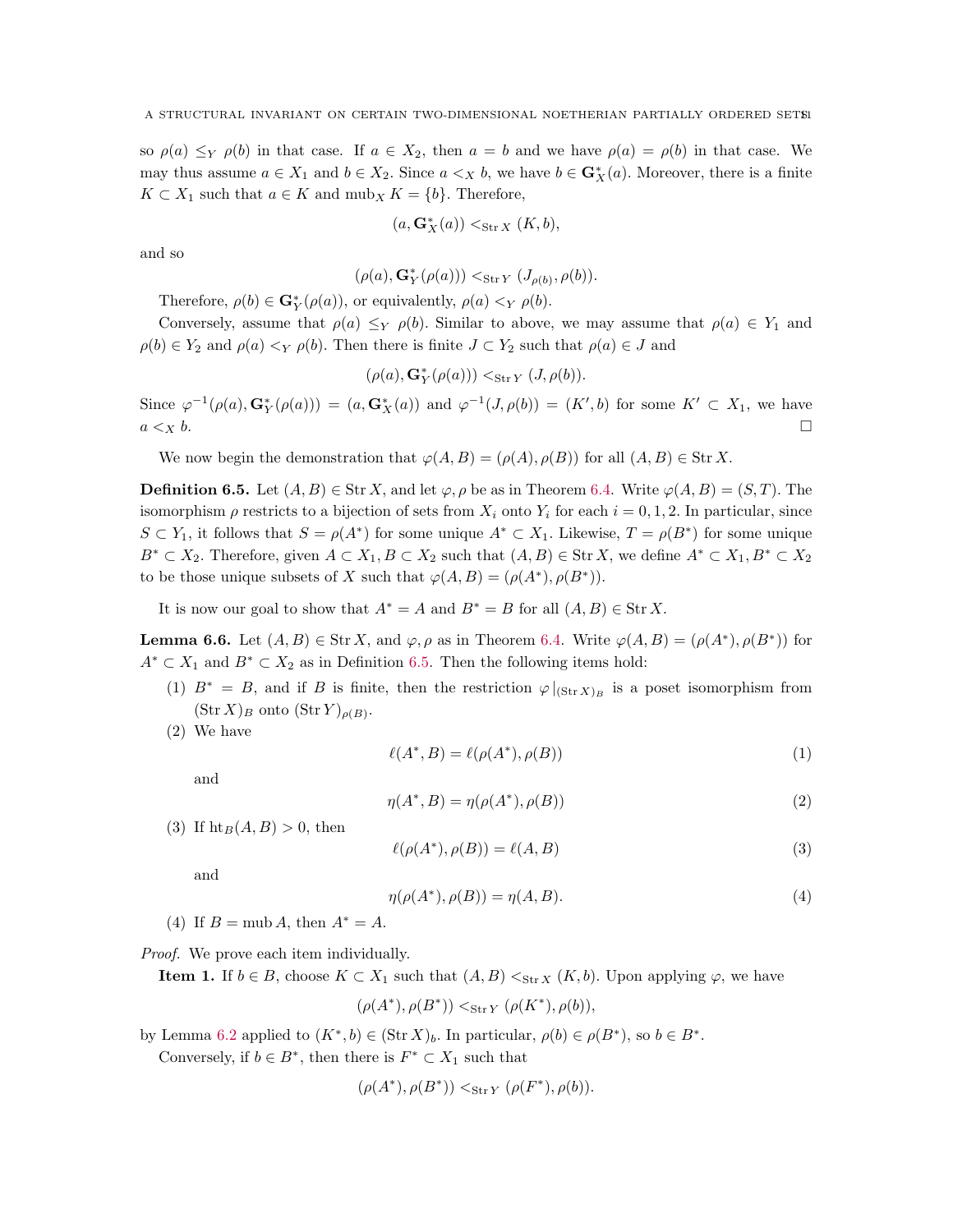so  $\rho(a) \leq_Y \rho(b)$  in that case. If  $a \in X_2$ , then  $a = b$  and we have  $\rho(a) = \rho(b)$  in that case. We may thus assume  $a \in X_1$  and  $b \in X_2$ . Since  $a \lt_X b$ , we have  $b \in \mathbf{G}_X^*(a)$ . Moreover, there is a finite  $K \subset X_1$  such that  $a \in K$  and  $m \Delta X = \{b\}$ . Therefore,

$$
(a,\mathbf{G}^*_{X}(a)) <_{\mathrm{Str}\, X} (K,b),
$$

and so

$$
(\rho(a),\mathbf{G}_{Y}^{*}(\rho(a))) <_{\text{Str } Y} (J_{\rho(b)},\rho(b)).
$$

Therefore,  $\rho(b) \in \mathbf{G}_Y^*(\rho(a))$ , or equivalently,  $\rho(a) \langle Y, \rho(b) \rangle$ .

Conversely, assume that  $\rho(a) \leq_Y \rho(b)$ . Similar to above, we may assume that  $\rho(a) \in Y_1$  and  $\rho(b) \in Y_2$  and  $\rho(a) \leq_Y \rho(b)$ . Then there is finite  $J \subset Y_2$  such that  $\rho(a) \in J$  and

$$
(\rho(a),\mathbf{G}^*_{Y}(\rho(a)))<_{\mathrm{Str}\,Y}(J,\rho(b)).
$$

Since  $\varphi^{-1}(\rho(a), \mathbf{G}_Y^*(\rho(a))) = (a, \mathbf{G}_X^*(a))$  and  $\varphi^{-1}(J, \rho(b)) = (K', b)$  for some  $K' \subset X_1$ , we have  $a <sub>X</sub> b$ .

We now begin the demonstration that  $\varphi(A, B) = (\rho(A), \rho(B))$  for all  $(A, B) \in \text{Str } X$ .

<span id="page-10-0"></span>**Definition 6.5.** Let  $(A, B) \in \text{Str } X$ , and let  $\varphi, \rho$  be as in Theorem [6.4.](#page-9-0) Write  $\varphi(A, B) = (S, T)$ . The isomorphism  $\rho$  restricts to a bijection of sets from  $X_i$  onto  $Y_i$  for each  $i = 0, 1, 2$ . In particular, since  $S \subset Y_1$ , it follows that  $S = \rho(A^*)$  for some unique  $A^* \subset X_1$ . Likewise,  $T = \rho(B^*)$  for some unique  $B^* \subset X_2$ . Therefore, given  $A \subset X_1, B \subset X_2$  such that  $(A, B) \in \text{Str } X$ , we define  $A^* \subset X_1, B^* \subset X_2$ to be those unique subsets of X such that  $\varphi(A, B) = (\rho(A^*), \rho(B^*)).$ 

It is now our goal to show that  $A^* = A$  and  $B^* = B$  for all  $(A, B) \in \text{Str } X$ .

<span id="page-10-3"></span>**Lemma 6.6.** Let  $(A, B) \in \text{Str } X$ , and  $\varphi$ ,  $\rho$  as in Theorem [6.4.](#page-9-0) Write  $\varphi(A, B) = (\rho(A^*), \rho(B^*))$  for  $A^* \subset X_1$  and  $B^* \subset X_2$  as in Definition [6.5.](#page-10-0) Then the following items hold:

- (1)  $B^* = B$ , and if B is finite, then the restriction  $\varphi|_{(\text{Str }X)_B}$  is a poset isomorphism from  $(\text{Str } X)_B$  onto  $(\text{Str } Y)_{\rho(B)}$ .
- (2) We have

<span id="page-10-1"></span>
$$
\ell(A^*,B) = \ell(\rho(A^*), \rho(B))
$$
\n<sup>(1)</sup>

and

<span id="page-10-2"></span>
$$
\eta(A^*,B) = \eta(\rho(A^*), \rho(B))\tag{2}
$$

(3) If  $\text{ht}_B(A, B) > 0$ , then

$$
\ell(\rho(A^*), \rho(B)) = \ell(A, B) \tag{3}
$$

and

$$
\eta(\rho(A^*), \rho(B)) = \eta(A, B). \tag{4}
$$

(4) If  $B = \text{mub } A$ , then  $A^* = A$ .

Proof. We prove each item individually.

**Item 1.** If  $b \in B$ , choose  $K \subset X_1$  such that  $(A, B) <_{\text{Str } X} (K, b)$ . Upon applying  $\varphi$ , we have

$$
(\rho(A^*), \rho(B^*)) <_{\text{Str } Y} (\rho(K^*), \rho(b)),
$$

by Lemma [6.2](#page-8-1) applied to  $(K^*, b) \in (\text{Str } X)_b$ . In particular,  $\rho(b) \in \rho(B^*)$ , so  $b \in B^*$ .

Conversely, if  $b \in B^*$ , then there is  $F^* \subset X_1$  such that

$$
(\rho(A^*), \rho(B^*)) <_{\text{Str } Y} (\rho(F^*), \rho(b)).
$$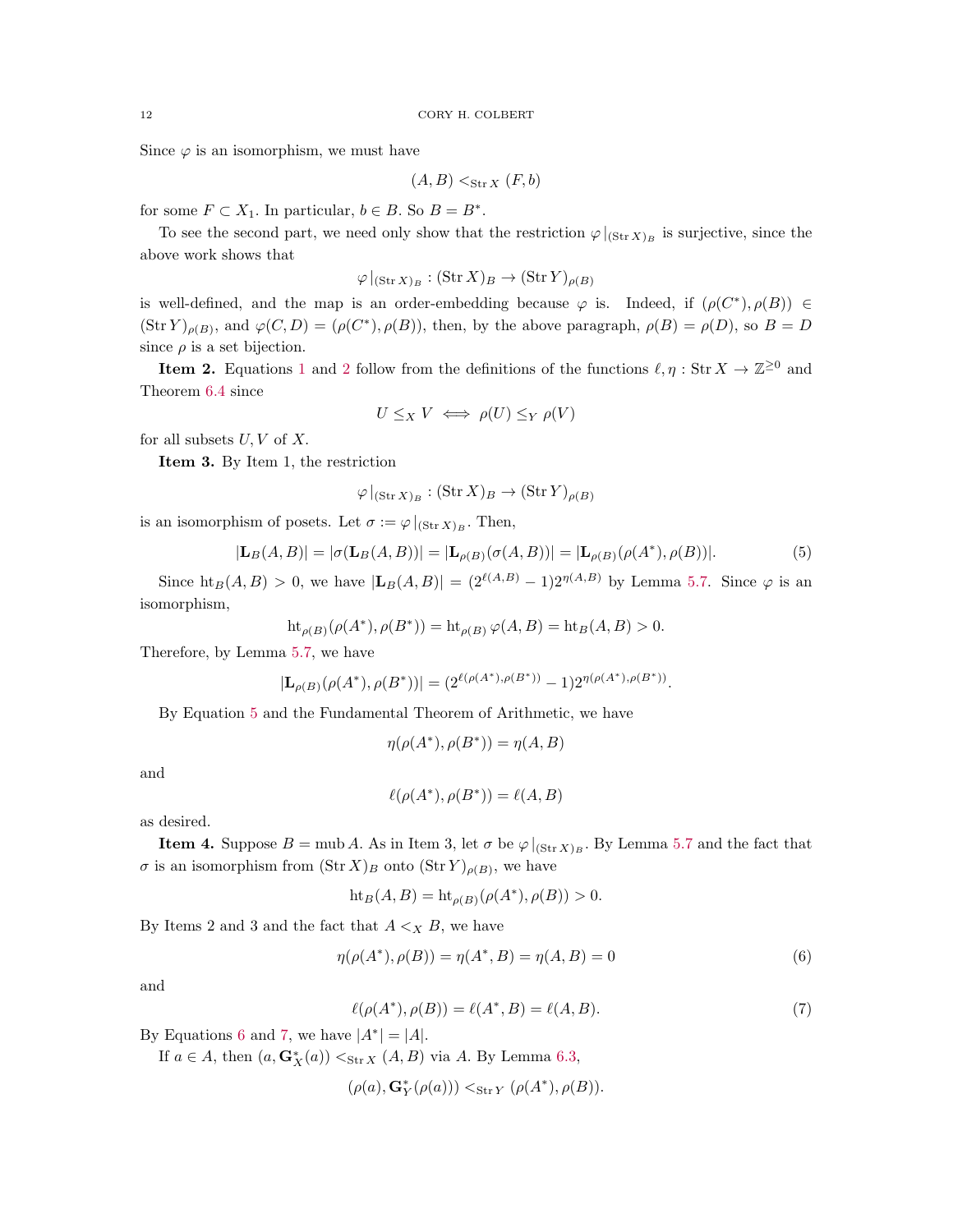Since  $\varphi$  is an isomorphism, we must have

$$
(A, B) <_{\text{Str } X} (F, b)
$$

for some  $F \subset X_1$ . In particular,  $b \in B$ . So  $B = B^*$ .

To see the second part, we need only show that the restriction  $\varphi|_{(\text{Str }X)_B}$  is surjective, since the above work shows that

$$
\varphi|_{(\operatorname{Str} X)_B}: (\operatorname{Str} X)_B \to (\operatorname{Str} Y)_{\rho(B)}
$$

is well-defined, and the map is an order-embedding because  $\varphi$  is. Indeed, if  $(\rho(C^*), \rho(B)) \in$  $(\text{Str } Y)_{\rho(B)}$ , and  $\varphi(C, D) = (\rho(C^*), \rho(B))$ , then, by the above paragraph,  $\rho(B) = \rho(D)$ , so  $B = D$ since  $\rho$  is a set bijection.

**Item [2](#page-10-2).** Equations [1](#page-10-1) and 2 follow from the definitions of the functions  $\ell, \eta : \text{Str } X \to \mathbb{Z}^{\geq 0}$  and Theorem [6.4](#page-9-0) since

$$
U \leq_X V \iff \rho(U) \leq_Y \rho(V)
$$

for all subsets  $U, V$  of  $X$ .

Item 3. By Item 1, the restriction

$$
\varphi|_{(\text{Str } X)_B} : (\text{Str } X)_B \to (\text{Str } Y)_{\rho(B)}
$$

is an isomorphism of posets. Let  $\sigma := \varphi|_{(\text{Str }X)_B}$ . Then,

<span id="page-11-0"></span>
$$
|\mathbf{L}_{B}(A,B)| = |\sigma(\mathbf{L}_{B}(A,B))| = |\mathbf{L}_{\rho(B)}(\sigma(A,B))| = |\mathbf{L}_{\rho(B)}(\rho(A^*), \rho(B))|.
$$
 (5)

Since  $\text{ht}_B(A, B) > 0$ , we have  $|\mathbf{L}_B(A, B)| = (2^{\ell(A, B)} - 1)2^{\eta(A, B)}$  by Lemma [5.7.](#page-6-1) Since  $\varphi$  is an isomorphism,

$$
\mathrm{ht}_{\rho(B)}(\rho(A^*), \rho(B^*)) = \mathrm{ht}_{\rho(B)} \, \varphi(A, B) = \mathrm{ht}_B(A, B) > 0.
$$

Therefore, by Lemma [5.7,](#page-6-1) we have

$$
|\mathbf{L}_{\rho(B)}(\rho(A^*),\rho(B^*))|=(2^{\ell(\rho(A^*),\rho(B^*))}-1)2^{\eta(\rho(A^*),\rho(B^*))}
$$

By Equation [5](#page-11-0) and the Fundamental Theorem of Arithmetic, we have

$$
\eta(\rho(A^*), \rho(B^*)) = \eta(A, B)
$$

and

$$
\ell(\rho(A^*), \rho(B^*)) = \ell(A, B)
$$

as desired.

**Item 4.** Suppose  $B = \text{mub } A$ . As in Item 3, let  $\sigma$  be  $\varphi|_{(\text{Str } X)_{B}}$ . By Lemma [5.7](#page-6-1) and the fact that  $\sigma$  is an isomorphism from  $(\text{Str } X)_B$  onto  $(\text{Str } Y)_{\rho(B)}$ , we have

$$
ht_B(A, B) = ht_{\rho(B)}(\rho(A^*), \rho(B)) > 0.
$$

By Items 2 and 3 and the fact that  $A \leq_X B$ , we have

<span id="page-11-1"></span>
$$
\eta(\rho(A^*), \rho(B)) = \eta(A^*, B) = \eta(A, B) = 0
$$
\n(6)

.

and

<span id="page-11-2"></span>
$$
\ell(\rho(A^*), \rho(B)) = \ell(A^*, B) = \ell(A, B). \tag{7}
$$

By Equations [6](#page-11-1) and [7,](#page-11-2) we have  $|A^*| = |A|$ .

If  $a \in A$ , then  $(a, \mathbf{G}_X^*(a)) <_{\text{Str } X} (A, B)$  via A. By Lemma [6.3,](#page-9-1)

$$
(\rho(a),\mathbf{G}_{Y}^{*}(\rho(a))) <_{\mathrm{Str}\, Y} (\rho(A^{*}),\rho(B)).
$$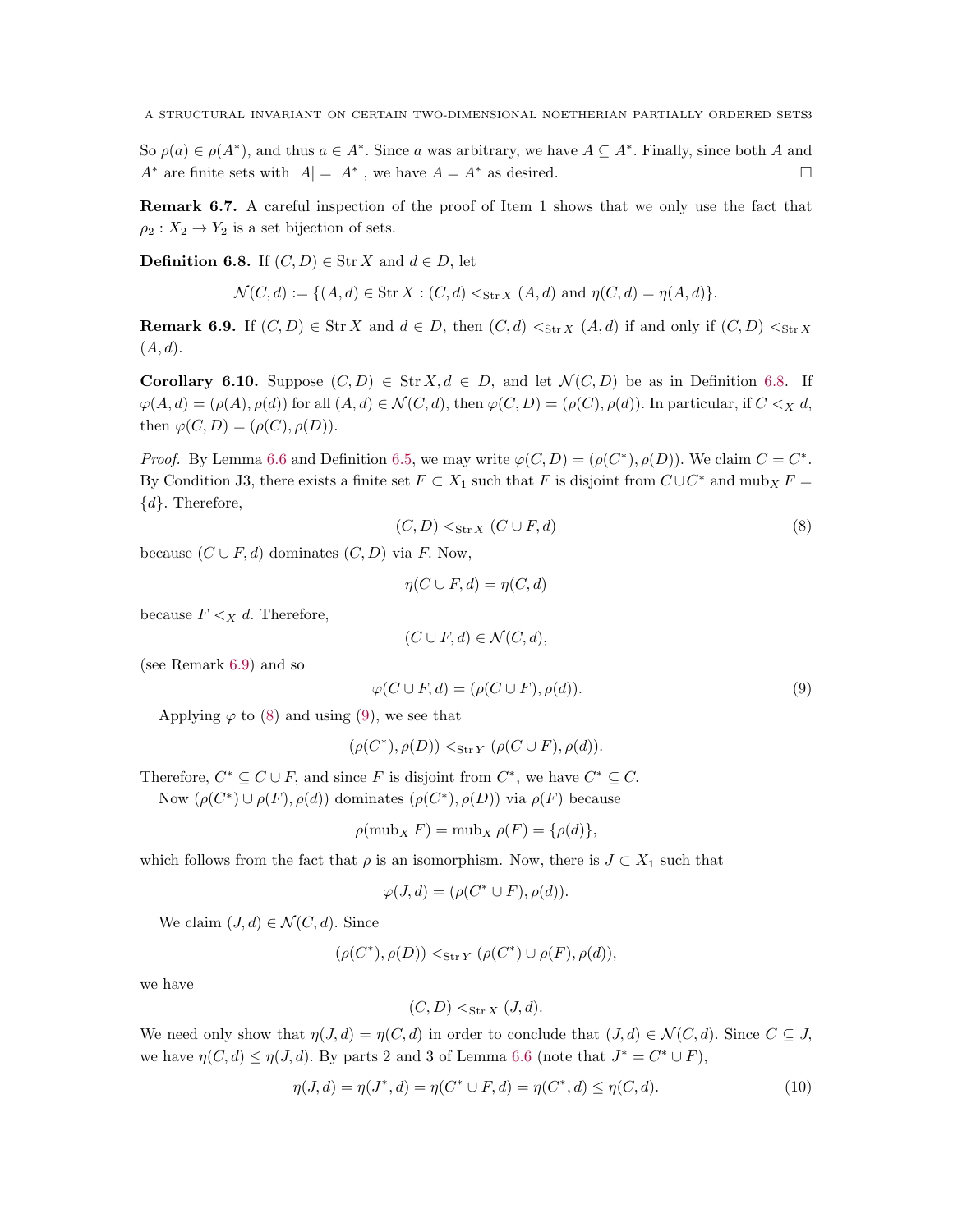So  $\rho(a) \in \rho(A^*)$ , and thus  $a \in A^*$ . Since a was arbitrary, we have  $A \subseteq A^*$ . Finally, since both A and  $A^*$  are finite sets with  $|A| = |A^*|$ , we have  $A = A^*$  as desired.

<span id="page-12-6"></span>Remark 6.7. A careful inspection of the proof of Item 1 shows that we only use the fact that  $\rho_2: X_2 \to Y_2$  is a set bijection of sets.

<span id="page-12-0"></span>**Definition 6.8.** If  $(C, D) \in \text{Str } X$  and  $d \in D$ , let

$$
\mathcal{N}(C, d) := \{ (A, d) \in \text{Str } X : (C, d) <_{\text{Str } X} (A, d) \text{ and } \eta(C, d) = \eta(A, d) \}.
$$

<span id="page-12-1"></span>**Remark 6.9.** If  $(C, D) \in \text{Str } X$  and  $d \in D$ , then  $(C, d) <_{\text{Str } X} (A, d)$  if and only if  $(C, D) <_{\text{Str } X}$  $(A, d).$ 

<span id="page-12-5"></span>**Corollary 6.10.** Suppose  $(C, D) \in \text{Str } X, d \in D$ , and let  $\mathcal{N}(C, D)$  be as in Definition [6.8.](#page-12-0) If  $\varphi(A, d) = (\rho(A), \rho(d))$  for all  $(A, d) \in \mathcal{N}(C, d)$ , then  $\varphi(C, D) = (\rho(C), \rho(d))$ . In particular, if  $C \leq_X d$ , then  $\varphi(C, D) = (\rho(C), \rho(D)).$ 

*Proof.* By Lemma [6.6](#page-10-3) and Definition [6.5,](#page-10-0) we may write  $\varphi(C, D) = (\rho(C^*), \rho(D))$ . We claim  $C = C^*$ . By Condition J3, there exists a finite set  $F \subset X_1$  such that F is disjoint from  $C \cup C^*$  and  $m \omega_X F =$  $\{d\}$ . Therefore,

<span id="page-12-2"></span>
$$
(C, D) <_{\text{Str } X} (C \cup F, d)
$$
\n
$$
(8)
$$

because  $(C \cup F, d)$  dominates  $(C, D)$  via F. Now,

$$
\eta(C \cup F, d) = \eta(C, d)
$$

because  $F \leq_X d$ . Therefore,

$$
(C \cup F, d) \in \mathcal{N}(C, d),
$$

(see Remark [6.9\)](#page-12-1) and so

<span id="page-12-3"></span>
$$
\varphi(C \cup F, d) = (\rho(C \cup F), \rho(d)).
$$
\n(9)

Applying  $\varphi$  to [\(8\)](#page-12-2) and using [\(9\)](#page-12-3), we see that

$$
(\rho(C^*), \rho(D)) <_{\text{Str\,}Y} (\rho(C \cup F), \rho(d)).
$$

Therefore,  $C^* \subseteq C \cup F$ , and since F is disjoint from  $C^*$ , we have  $C^* \subseteq C$ .

Now  $(\rho(C^*) \cup \rho(F), \rho(d))$  dominates  $(\rho(C^*), \rho(D))$  via  $\rho(F)$  because

$$
\rho(\text{mub}_X F) = \text{mub}_X \,\rho(F) = \{\rho(d)\},\
$$

which follows from the fact that  $\rho$  is an isomorphism. Now, there is  $J \subset X_1$  such that

$$
\varphi(J, d) = (\rho(C^* \cup F), \rho(d)).
$$

We claim  $(J, d) \in \mathcal{N}(C, d)$ . Since

$$
(\rho(C^*),\rho(D))<_{\text{Str\,}Y}(\rho(C^*)\cup\rho(F),\rho(d)),
$$

we have

$$
(C, D) <_{\text{Str } X} (J, d).
$$

We need only show that  $\eta(J, d) = \eta(C, d)$  in order to conclude that  $(J, d) \in \mathcal{N}(C, d)$ . Since  $C \subseteq J$ , we have  $\eta(C, d) \leq \eta(J, d)$ . By parts 2 and 3 of Lemma [6.6](#page-10-3) (note that  $J^* = C^* \cup F$ ),

<span id="page-12-4"></span>
$$
\eta(J, d) = \eta(J^*, d) = \eta(C^* \cup F, d) = \eta(C^*, d) \le \eta(C, d). \tag{10}
$$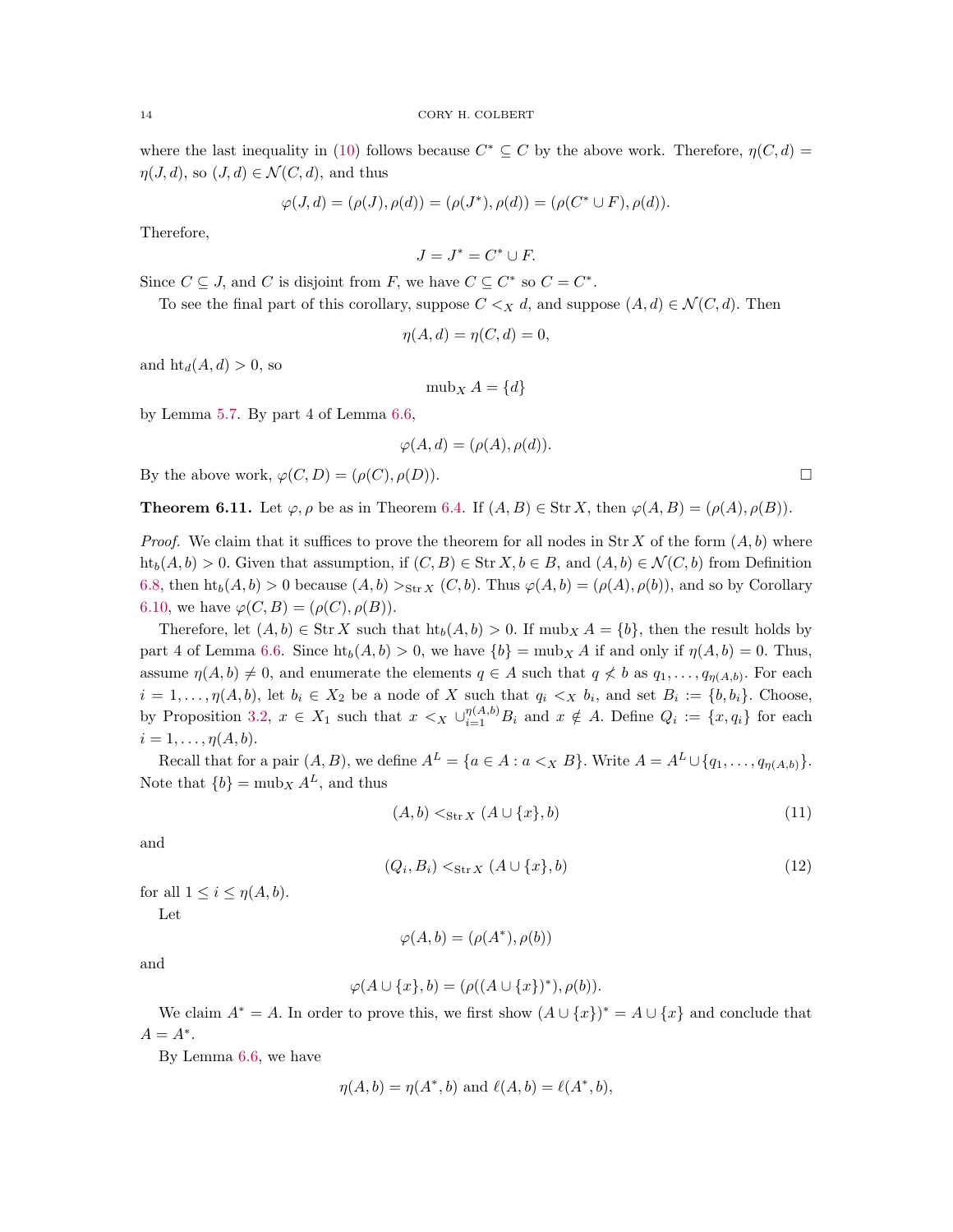where the last inequality in [\(10\)](#page-12-4) follows because  $C^* \subseteq C$  by the above work. Therefore,  $\eta(C, d)$  $\eta(J, d)$ , so  $(J, d) \in \mathcal{N}(C, d)$ , and thus

$$
\varphi(J, d) = (\rho(J), \rho(d)) = (\rho(J^*), \rho(d)) = (\rho(C^* \cup F), \rho(d)).
$$

Therefore,

$$
J = J^* = C^* \cup F.
$$

Since  $C \subseteq J$ , and C is disjoint from F, we have  $C \subseteq C^*$  so  $C = C^*$ .

To see the final part of this corollary, suppose  $C \leq_{X} d$ , and suppose  $(A, d) \in \mathcal{N}(C, d)$ . Then

$$
\eta(A, d) = \eta(C, d) = 0,
$$

and  $\text{ht}_d(A, d) > 0$ , so

 $mub_x A = \{d\}$ 

by Lemma [5.7.](#page-6-1) By part 4 of Lemma [6.6,](#page-10-3)

$$
\varphi(A, d) = (\rho(A), \rho(d)).
$$

By the above work,  $\varphi(C, D) = (\rho(C), \rho(D)).$ 

<span id="page-13-0"></span>**Theorem 6.11.** Let  $\varphi, \rho$  be as in Theorem [6.4.](#page-9-0) If  $(A, B) \in \text{Str } X$ , then  $\varphi(A, B) = (\rho(A), \rho(B))$ .

*Proof.* We claim that it suffices to prove the theorem for all nodes in  $\text{Str } X$  of the form  $(A, b)$  where  $ht_b(A, b) > 0$ . Given that assumption, if  $(C, B) \in Str X, b \in B$ , and  $(A, b) \in \mathcal{N}(C, b)$  from Definition [6.8,](#page-12-0) then  $\text{ht}_{b}(A, b) > 0$  because  $(A, b) >_{\text{Str } X} (C, b)$ . Thus  $\varphi(A, b) = (\rho(A), \rho(b))$ , and so by Corollary [6.10,](#page-12-5) we have  $\varphi(C, B) = (\rho(C), \rho(B)).$ 

Therefore, let  $(A, b) \in \text{Str } X$  such that  $\text{ht}_b(A, b) > 0$ . If  $\text{mub}_X A = \{b\}$ , then the result holds by part 4 of Lemma [6.6.](#page-10-3) Since  $\text{ht}_b(A, b) > 0$ , we have  $\{b\} = \text{mub}_X A$  if and only if  $\eta(A, b) = 0$ . Thus, assume  $\eta(A, b) \neq 0$ , and enumerate the elements  $q \in A$  such that  $q \not\leq b$  as  $q_1, \ldots, q_{\eta(A, b)}$ . For each  $i = 1, \ldots, \eta(A, b)$ , let  $b_i \in X_2$  be a node of X such that  $q_i \lt_X b_i$ , and set  $B_i := \{b, b_i\}$ . Choose, by Proposition [3.2,](#page-3-1)  $x \in X_1$  such that  $x \leq_X \bigcup_{i=1}^{\eta(A,b)} B_i$  and  $x \notin A$ . Define  $Q_i := \{x, q_i\}$  for each  $i=1,\ldots,\eta(A,b).$ 

Recall that for a pair  $(A, B)$ , we define  $A^L = \{a \in A : a \leq x \ B\}$ . Write  $A = A^L \cup \{q_1, \ldots, q_{\eta(A,b)}\}$ . Note that  ${b}$  = mub<sub>X</sub>  $A<sup>L</sup>$ , and thus

<span id="page-13-1"></span>
$$
(A,b) <_{\text{Str } X} (A \cup \{x\}, b)
$$
\n
$$
(11)
$$

and

<span id="page-13-2"></span>
$$
(Q_i, B_i) \lt_{\text{Str } X} (A \cup \{x\}, b) \tag{12}
$$

for all  $1 \leq i \leq \eta(A, b)$ . Let

$$
\varphi(A, b) = (\rho(A^*), \rho(b))
$$

and

$$
\varphi(A \cup \{x\}, b) = (\rho((A \cup \{x\})^*), \rho(b)).
$$

We claim  $A^* = A$ . In order to prove this, we first show  $(A \cup \{x\})^* = A \cup \{x\}$  and conclude that  $A = A^*$ .

By Lemma [6.6,](#page-10-3) we have

$$
\eta(A, b) = \eta(A^*, b) \text{ and } \ell(A, b) = \ell(A^*, b),
$$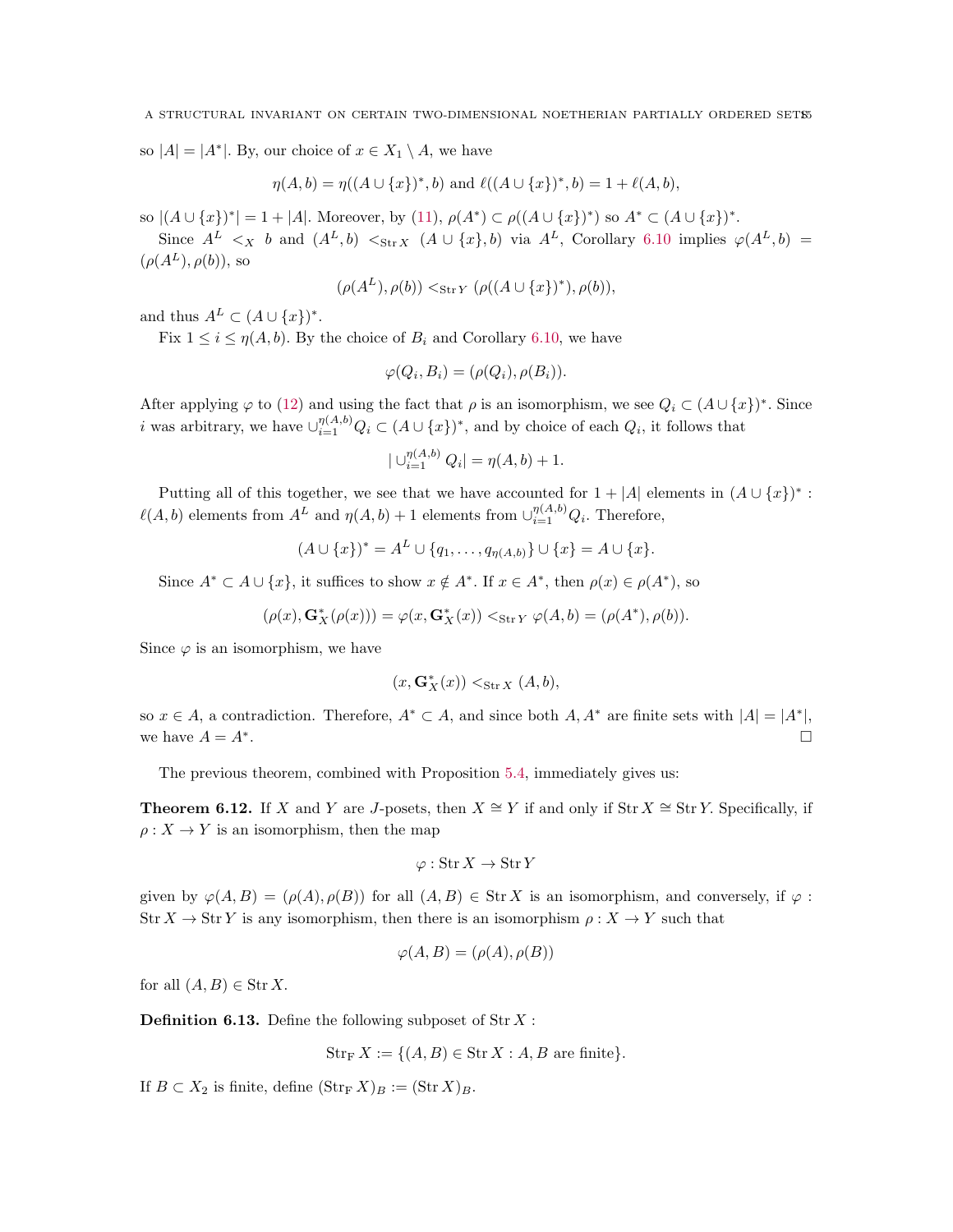so  $|A| = |A^*|$ . By, our choice of  $x \in X_1 \setminus A$ , we have

$$
\eta(A,b)=\eta((A\cup\{x\})^*,b)\text{ and }\ell((A\cup\{x\})^*,b)=1+\ell(A,b),
$$

so  $|(A \cup \{x\})^*| = 1 + |A|$ . Moreover, by [\(11\)](#page-13-1),  $\rho(A^*) \subset \rho((A \cup \{x\})^*)$  so  $A^* \subset (A \cup \{x\})^*$ .

Since  $A^L <sub>X</sub> b$  and  $(A^L, b) <sub>Str X</sub> (A \cup \{x\}, b)$  via  $A^L$ , Corollary [6.10](#page-12-5) implies  $\varphi(A^L, b)$  =  $(\rho(A^L), \rho(b))$ , so

$$
(\rho(A^L), \rho(b)) <_{\text{Str}\, Y} (\rho((A \cup \{x\})^*), \rho(b)),
$$

and thus  $A^L \subset (A \cup \{x\})^*$ .

Fix  $1 \leq i \leq \eta(A, b)$ . By the choice of  $B_i$  and Corollary [6.10,](#page-12-5) we have

$$
\varphi(Q_i, B_i) = (\rho(Q_i), \rho(B_i)).
$$

After applying  $\varphi$  to [\(12\)](#page-13-2) and using the fact that  $\rho$  is an isomorphism, we see  $Q_i \subset (A \cup \{x\})^*$ . Since *i* was arbitrary, we have  $\bigcup_{i=1}^{\eta(A,b)} Q_i \subset (A \cup \{x\})^*$ , and by choice of each  $Q_i$ , it follows that

$$
|\bigcup_{i=1}^{\eta(A,b)} Q_i| = \eta(A,b) + 1.
$$

Putting all of this together, we see that we have accounted for  $1 + |A|$  elements in  $(A \cup \{x\})^*$ :  $\ell(A, b)$  elements from  $A^L$  and  $\eta(A, b) + 1$  elements from  $\cup_{i=1}^{\eta(A, b)} Q_i$ . Therefore,

$$
(A \cup \{x\})^* = A^L \cup \{q_1, \ldots, q_{\eta(A,b)}\} \cup \{x\} = A \cup \{x\}.
$$

Since  $A^* \subset A \cup \{x\}$ , it suffices to show  $x \notin A^*$ . If  $x \in A^*$ , then  $\rho(x) \in \rho(A^*)$ , so

$$
(\rho(x),\mathbf{G}^*_X(\rho(x)))=\varphi(x,\mathbf{G}^*_X(x))<_{\mathrm{Str}\, Y}\varphi(A,b)=(\rho(A^*),\rho(b)).
$$

Since  $\varphi$  is an isomorphism, we have

$$
(x,\mathbf{G}^*_X(x)) <_{\mathrm{Str}\, X} (A,b),
$$

so  $x \in A$ , a contradiction. Therefore,  $A^* \subset A$ , and since both  $A, A^*$  are finite sets with  $|A| = |A^*|$ , we have  $A = A^*$ . . In the contract of the contract of the contract of the contract of the contract of the contract of the contract of

The previous theorem, combined with Proposition [5.4,](#page-6-0) immediately gives us:

<span id="page-14-0"></span>**Theorem 6.12.** If X and Y are J-posets, then  $X \cong Y$  if and only if Str  $X \cong \text{Str } Y$ . Specifically, if  $\rho: X \to Y$  is an isomorphism, then the map

$$
\varphi: \operatorname{Str} X \to \operatorname{Str} Y
$$

given by  $\varphi(A, B) = (\rho(A), \rho(B))$  for all  $(A, B) \in \text{Str } X$  is an isomorphism, and conversely, if  $\varphi$ :  $\text{Str } X \to \text{Str } Y$  is any isomorphism, then there is an isomorphism  $\rho: X \to Y$  such that

$$
\varphi(A, B) = (\rho(A), \rho(B))
$$

for all  $(A, B) \in \text{Str } X$ .

**Definition 6.13.** Define the following subposet of  $\text{Str } X$ :

$$
Str_F X := \{ (A, B) \in Str X : A, B \text{ are finite} \}.
$$

If  $B \subset X_2$  is finite, define  $(\text{Str}_F X)_B := (\text{Str } X)_B$ .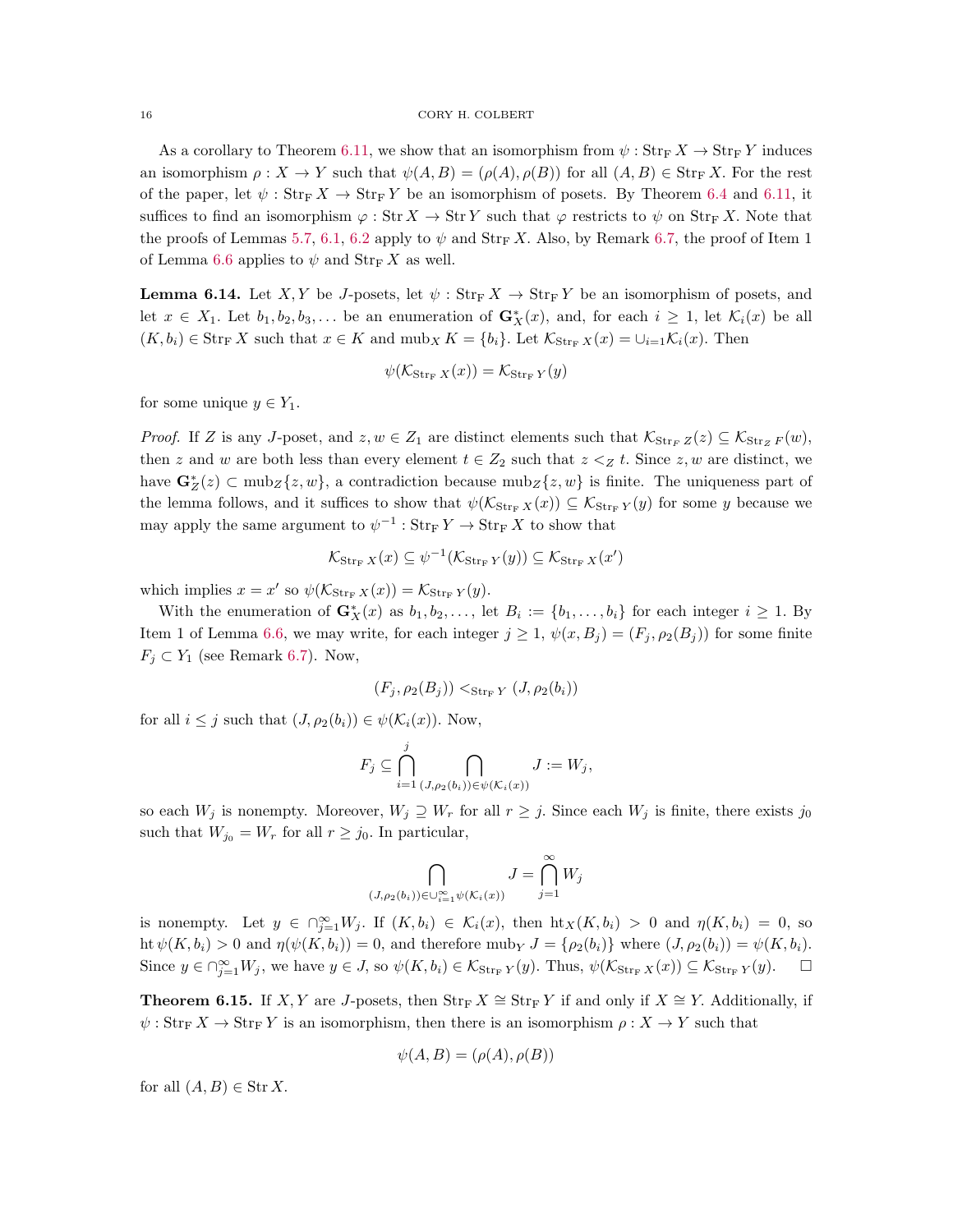#### 16 CORY H. COLBERT

As a corollary to Theorem [6.11,](#page-13-0) we show that an isomorphism from  $\psi$  :  $\text{Str}_{F} X \to \text{Str}_{F} Y$  induces an isomorphism  $\rho: X \to Y$  such that  $\psi(A, B) = (\rho(A), \rho(B))$  for all  $(A, B) \in \text{Str}_F X$ . For the rest of the paper, let  $\psi$ :  $\text{Str}_{\text{F}} X \to \text{Str}_{\text{F}} Y$  be an isomorphism of posets. By Theorem [6.4](#page-9-0) and [6.11,](#page-13-0) it suffices to find an isomorphism  $\varphi : \text{Str } X \to \text{Str } Y$  such that  $\varphi$  restricts to  $\psi$  on  $\text{Str } X$ . Note that the proofs of Lemmas [5.7,](#page-6-1) [6.1,](#page-8-0) [6.2](#page-8-1) apply to  $\psi$  and  $\text{Str}_{\mathcal{F}} X$ . Also, by Remark [6.7,](#page-12-6) the proof of Item 1 of Lemma [6.6](#page-10-3) applies to  $\psi$  and  $\text{Str}_{\mathcal{F}} X$  as well.

**Lemma 6.14.** Let X, Y be J-posets, let  $\psi$ : Str<sub>F</sub> X  $\rightarrow$  Str<sub>F</sub> Y be an isomorphism of posets, and let  $x \in X_1$ . Let  $b_1, b_2, b_3, \ldots$  be an enumeration of  $\mathbf{G}_X^*(x)$ , and, for each  $i \geq 1$ , let  $\mathcal{K}_i(x)$  be all  $(K, b_i) \in \text{Str}_{\mathbb{F}} X$  such that  $x \in K$  and  $\text{mub}_X K = \{b_i\}$ . Let  $\mathcal{K}_{\text{Str}_{\mathbb{F}} X}(x) = \bigcup_{i=1}^{\infty} \mathcal{K}_i(x)$ . Then

$$
\psi(\mathcal{K}_{\mathrm{Str}_{\mathrm{F}} X}(x)) = \mathcal{K}_{\mathrm{Str}_{\mathrm{F}} Y}(y)
$$

for some unique  $y \in Y_1$ .

*Proof.* If Z is any J-poset, and  $z, w \in Z_1$  are distinct elements such that  $\mathcal{K}_{\text{Str}_F Z}(z) \subseteq \mathcal{K}_{\text{Str}_Z F}(w)$ , then z and w are both less than every element  $t \in Z_2$  such that  $z \leq z$  t. Since  $z, w$  are distinct, we have  $\mathbf{G}_{Z}^{*}(z) \subset \text{mub}_{Z}\{z,w\}$ , a contradiction because  $\text{mub}_{Z}\{z,w\}$  is finite. The uniqueness part of the lemma follows, and it suffices to show that  $\psi(\mathcal{K}_{\text{Str}_{F} X}(x)) \subseteq \mathcal{K}_{\text{Str}_{F} Y}(y)$  for some y because we may apply the same argument to  $\psi^{-1}$  :  $\text{Str}_{\text{F}} Y \to \text{Str}_{\text{F}} X$  to show that

$$
\mathcal{K}_{\operatorname{Str}_{\mathbf{F}} X}(x) \subseteq \psi^{-1}(\mathcal{K}_{\operatorname{Str}_{\mathbf{F}} Y}(y)) \subseteq \mathcal{K}_{\operatorname{Str}_{\mathbf{F}} X}(x')
$$

which implies  $x = x'$  so  $\psi(\mathcal{K}_{\text{Str}_{F}} X(x)) = \mathcal{K}_{\text{Str}_{F}} Y(y)$ .

With the enumeration of  $\mathbf{G}_X^*(x)$  as  $b_1, b_2, \ldots$ , let  $B_i := \{b_1, \ldots, b_i\}$  for each integer  $i \geq 1$ . By Item 1 of Lemma [6.6,](#page-10-3) we may write, for each integer  $j \ge 1$ ,  $\psi(x, B_i) = (F_i, \rho_2(B_i))$  for some finite  $F_j \subset Y_1$  (see Remark [6.7\)](#page-12-6). Now,

$$
(F_j, \rho_2(B_j)) <_{\text{Str}_{\mathcal{F}} Y} (J, \rho_2(b_i))
$$

for all  $i \leq j$  such that  $(J, \rho_2(b_i)) \in \psi(\mathcal{K}_i(x))$ . Now,

$$
F_j \subseteq \bigcap_{i=1}^j \bigcap_{(J,\rho_2(b_i)) \in \psi(\mathcal{K}_i(x))} J := W_j,
$$

so each  $W_j$  is nonempty. Moreover,  $W_j \supseteq W_r$  for all  $r \geq j$ . Since each  $W_j$  is finite, there exists  $j_0$ such that  $W_{j_0} = W_r$  for all  $r \geq j_0$ . In particular,

$$
\bigcap_{(J,\rho_2(b_i))\in\cup_{i=1}^{\infty}\psi(\mathcal{K}_i(x))} J=\bigcap_{j=1}^{\infty} W_j
$$

is nonempty. Let  $y \in \bigcap_{j=1}^{\infty} W_j$ . If  $(K, b_i) \in \mathcal{K}_i(x)$ , then  $\text{ht}_X(K, b_i) > 0$  and  $\eta(K, b_i) = 0$ , so ht  $\psi(K, b_i) > 0$  and  $\eta(\psi(K, b_i)) = 0$ , and therefore muby  $J = \{\rho_2(b_i)\}\$  where  $(J, \rho_2(b_i)) = \psi(K, b_i)$ . Since  $y \in \bigcap_{j=1}^{\infty} W_j$ , we have  $y \in J$ , so  $\psi(K, b_i) \in \mathcal{K}_{\text{Str}_{F} Y}(y)$ . Thus,  $\psi(\mathcal{K}_{\text{Str}_{F} X}(x)) \subseteq \mathcal{K}_{\text{Str}_{F} Y}(y)$ .  $\Box$ 

<span id="page-15-0"></span>**Theorem 6.15.** If X, Y are J-posets, then  $\text{Str}_{\text{F}} X ≅ \text{Str}_{\text{F}} Y$  if and only if  $X ≅ Y$ . Additionally, if  $\psi: \text{Str}_F X \to \text{Str}_F Y$  is an isomorphism, then there is an isomorphism  $\rho: X \to Y$  such that

$$
\psi(A, B) = (\rho(A), \rho(B))
$$

for all  $(A, B) \in \text{Str } X$ .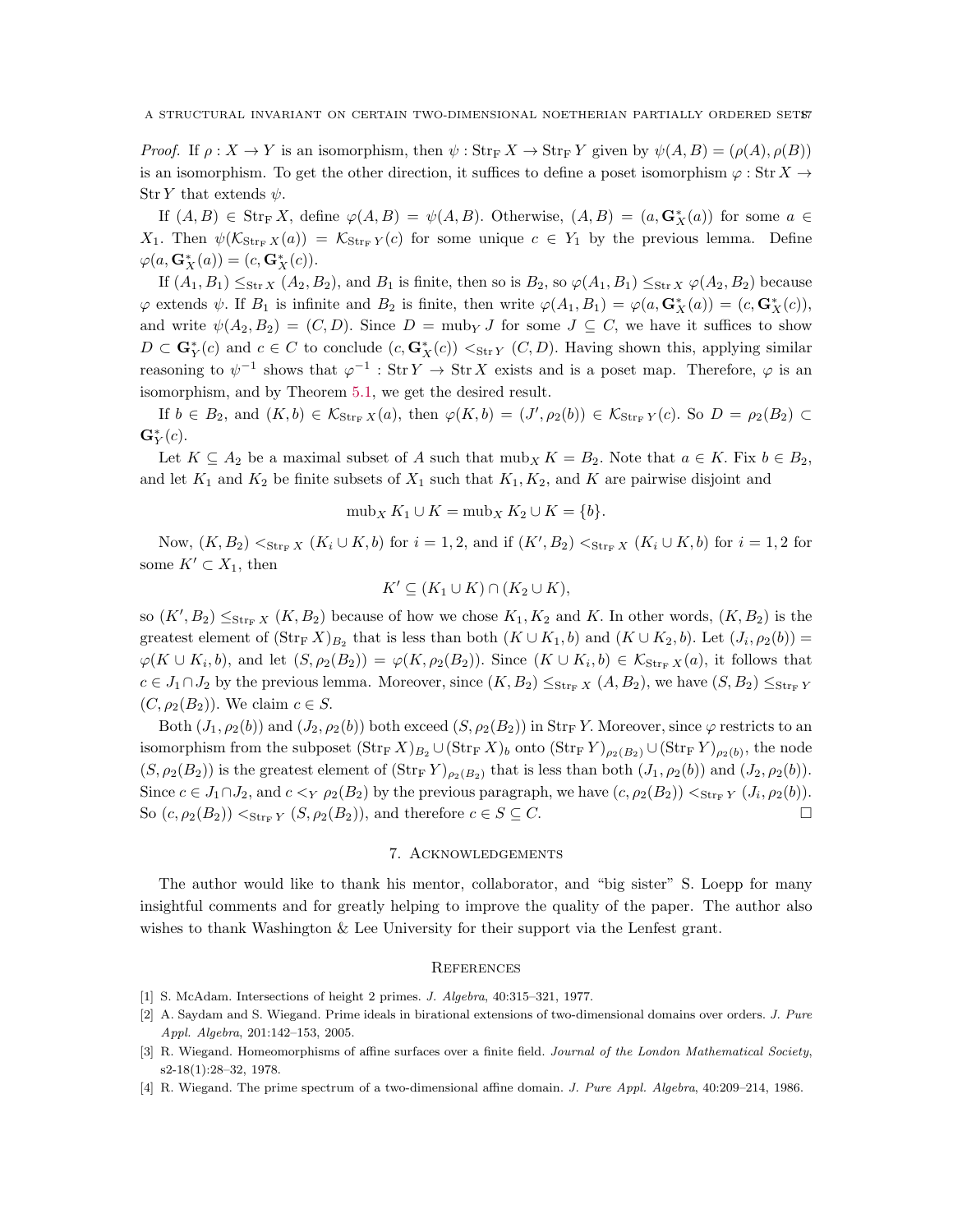*Proof.* If  $\rho: X \to Y$  is an isomorphism, then  $\psi: \text{Str}_F X \to \text{Str}_F Y$  given by  $\psi(A, B) = (\rho(A), \rho(B))$ is an isomorphism. To get the other direction, it suffices to define a poset isomorphism  $\varphi : \text{Str } X \to$ Str Y that extends  $\psi$ .

If  $(A, B) \in \text{Str}_F X$ , define  $\varphi(A, B) = \psi(A, B)$ . Otherwise,  $(A, B) = (a, G_X^*(a))$  for some  $a \in$  $X_1$ . Then  $\psi(\mathcal{K}_{\text{Str}_{F}}(a)) = \mathcal{K}_{\text{Str}_{F}}(c)$  for some unique  $c \in Y_1$  by the previous lemma. Define  $\varphi(a, \mathbf{G}_X^*(a)) = (c, \mathbf{G}_X^*(c)).$ 

If  $(A_1, B_1) \leq_{\text{Str } X} (A_2, B_2)$ , and  $B_1$  is finite, then so is  $B_2$ , so  $\varphi(A_1, B_1) \leq_{\text{Str } X} \varphi(A_2, B_2)$  because  $\varphi$  extends  $\psi$ . If  $B_1$  is infinite and  $B_2$  is finite, then write  $\varphi(A_1, B_1) = \varphi(a, \mathbf{G}_X^*(a)) = (c, \mathbf{G}_X^*(c)),$ and write  $\psi(A_2, B_2) = (C, D)$ . Since  $D = \text{mub}_Y J$  for some  $J \subseteq C$ , we have it suffices to show  $D \subset \mathbf{G}_{Y}^{*}(c)$  and  $c \in C$  to conclude  $(c, \mathbf{G}_{X}^{*}(c)) <_{\text{Str } Y} (C, D)$ . Having shown this, applying similar reasoning to  $\psi^{-1}$  shows that  $\varphi^{-1}$ : Str  $Y \to \text{Str } X$  exists and is a poset map. Therefore,  $\varphi$  is an isomorphism, and by Theorem [5.1,](#page-5-1) we get the desired result.

If  $b \in B_2$ , and  $(K, b) \in \mathcal{K}_{\text{Str}_F X}(a)$ , then  $\varphi(K, b) = (J', \rho_2(b)) \in \mathcal{K}_{\text{Str}_F Y}(c)$ . So  $D = \rho_2(B_2) \subset$  $\mathbf{G}^*_Y(c).$ 

Let  $K \subseteq A_2$  be a maximal subset of A such that  $m \omega_k K = B_2$ . Note that  $a \in K$ . Fix  $b \in B_2$ , and let  $K_1$  and  $K_2$  be finite subsets of  $X_1$  such that  $K_1, K_2$ , and K are pairwise disjoint and

$$
\mathrm{mub}_X K_1 \cup K = \mathrm{mub}_X K_2 \cup K = \{b\}.
$$

Now,  $(K, B_2) <_{\text{Str}_F X} (K_i \cup K, b)$  for  $i = 1, 2$ , and if  $(K', B_2) <_{\text{Str}_F X} (K_i \cup K, b)$  for  $i = 1, 2$  for some  $K' \subset X_1$ , then

$$
K' \subseteq (K_1 \cup K) \cap (K_2 \cup K),
$$

so  $(K', B_2) \leq_{\text{Str}_F X} (K, B_2)$  because of how we chose  $K_1, K_2$  and K. In other words,  $(K, B_2)$  is the greatest element of  $(\text{Str}_F X)_{B_2}$  that is less than both  $(K \cup K_1, b)$  and  $(K \cup K_2, b)$ . Let  $(J_i, \rho_2(b))$  =  $\varphi(K \cup K_i, b)$ , and let  $(S, \rho_2(B_2)) = \varphi(K, \rho_2(B_2))$ . Since  $(K \cup K_i, b) \in \mathcal{K}_{\text{Str}_F X}(a)$ , it follows that  $c \in J_1 \cap J_2$  by the previous lemma. Moreover, since  $(K, B_2) \leq_{\text{Str}_F X} (A, B_2)$ , we have  $(S, B_2) \leq_{\text{Str}_F Y}$  $(C, \rho_2(B_2))$ . We claim  $c \in S$ .

Both  $(J_1, \rho_2(b))$  and  $(J_2, \rho_2(b))$  both exceed  $(S, \rho_2(B_2))$  in Str<sub>F</sub>Y. Moreover, since  $\varphi$  restricts to an isomorphism from the subposet  $(\text{Str}_F X)_{B_2} \cup (\text{Str}_F X)_b$  onto  $(\text{Str}_F Y)_{\rho_2(B_2)} \cup (\text{Str}_F Y)_{\rho_2(b)}$ , the node  $(S, \rho_2(B_2))$  is the greatest element of  $(\text{Str}_F Y)_{\rho_2(B_2)}$  that is less than both  $(J_1, \rho_2(b))$  and  $(J_2, \rho_2(b))$ . Since  $c \in J_1 \cap J_2$ , and  $c <_Y \rho_2(B_2)$  by the previous paragraph, we have  $(c, \rho_2(B_2)) <_{\text{Str}_F Y} (J_i, \rho_2(b))$ . So  $(c, \rho_2(B_2)) <_{\text{Str}_F Y} (S, \rho_2(B_2))$ , and therefore  $c \in S \subseteq C$ .

## 7. Acknowledgements

The author would like to thank his mentor, collaborator, and "big sister" S. Loepp for many insightful comments and for greatly helping to improve the quality of the paper. The author also wishes to thank Washington & Lee University for their support via the Lenfest grant.

#### **REFERENCES**

- <span id="page-16-3"></span><span id="page-16-2"></span>[1] S. McAdam. Intersections of height 2 primes. *J. Algebra*, 40:315–321, 1977.
- [2] A. Saydam and S. Wiegand. Prime ideals in birational extensions of two-dimensional domains over orders. *J. Pure Appl. Algebra*, 201:142–153, 2005.
- <span id="page-16-0"></span>[3] R. Wiegand. Homeomorphisms of affine surfaces over a finite field. *Journal of the London Mathematical Society*, s2-18(1):28–32, 1978.
- <span id="page-16-1"></span>[4] R. Wiegand. The prime spectrum of a two-dimensional affine domain. *J. Pure Appl. Algebra*, 40:209–214, 1986.